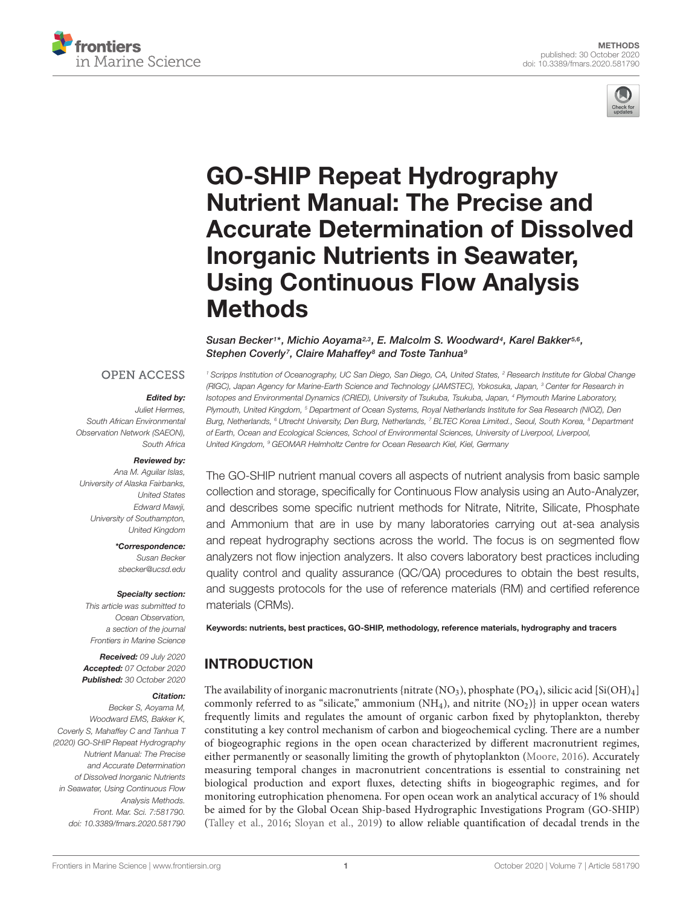



# GO-SHIP Repeat Hydrography Nutrient Manual: The Precise and [Accurate Determination of Dissolved](https://www.frontiersin.org/articles/10.3389/fmars.2020.581790/full) Inorganic Nutrients in Seawater, Using Continuous Flow Analysis Methods

Susan Becker<sup>1\*</sup>, Michio Aoyama<sup>2,3</sup>, E. Malcolm S. Woodward<sup>4</sup>, Karel Bakker<sup>5,6</sup>, Stephen Coverly<sup>7</sup>, Claire Mahaffey<sup>8</sup> and Toste Tanhua<sup>s</sup>

### **OPEN ACCESS**

#### Edited by:

Juliet Hermes, South African Environmental Observation Network (SAEON), South Africa

#### Reviewed by:

Ana M. Aguilar Islas, University of Alaska Fairbanks, United States Edward Mawji, University of Southampton, United Kingdom

> \*Correspondence: Susan Becker sbecker@ucsd.edu

#### Specialty section:

This article was submitted to Ocean Observation, a section of the journal Frontiers in Marine Science

Received: 09 July 2020 Accepted: 07 October 2020 Published: 30 October 2020

#### Citation:

Becker S, Aoyama M, Woodward EMS, Bakker K, Coverly S, Mahaffey C and Tanhua T (2020) GO-SHIP Repeat Hydrography Nutrient Manual: The Precise and Accurate Determination of Dissolved Inorganic Nutrients in Seawater, Using Continuous Flow Analysis Methods. Front. Mar. Sci. 7:581790. doi: [10.3389/fmars.2020.581790](https://doi.org/10.3389/fmars.2020.581790)

<sup>1</sup> Scripps Institution of Oceanography, UC San Diego, San Diego, CA, United States, <sup>2</sup> Research Institute for Global Change (RIGC), Japan Agency for Marine-Earth Science and Technology (JAMSTEC), Yokosuka, Japan, <sup>3</sup> Center for Research in Isotopes and Environmental Dynamics (CRIED), University of Tsukuba, Tsukuba, Japan, <sup>4</sup> Plymouth Marine Laboratory, Plymouth, United Kingdom, <sup>5</sup> Department of Ocean Systems, Royal Netherlands Institute for Sea Research (NIOZ), Den Burg, Netherlands, <sup>6</sup> Utrecht University, Den Burg, Netherlands, 7 BLTEC Korea Limited., Seoul, South Korea, <sup>8</sup> Department of Earth, Ocean and Ecological Sciences, School of Environmental Sciences, University of Liverpool, Liverpool, United Kingdom, <sup>9</sup> GEOMAR Helmholtz Centre for Ocean Research Kiel, Kiel, Germany

The GO-SHIP nutrient manual covers all aspects of nutrient analysis from basic sample collection and storage, specifically for Continuous Flow analysis using an Auto-Analyzer, and describes some specific nutrient methods for Nitrate, Nitrite, Silicate, Phosphate and Ammonium that are in use by many laboratories carrying out at-sea analysis and repeat hydrography sections across the world. The focus is on segmented flow analyzers not flow injection analyzers. It also covers laboratory best practices including quality control and quality assurance (QC/QA) procedures to obtain the best results, and suggests protocols for the use of reference materials (RM) and certified reference materials (CRMs).

Keywords: nutrients, best practices, GO-SHIP, methodology, reference materials, hydrography and tracers

# **INTRODUCTION**

The availability of inorganic macronutrients {nitrate (NO<sub>3</sub>), phosphate (PO<sub>4</sub>), silicic acid [Si(OH)<sub>4</sub>] commonly referred to as "silicate," ammonium  $(NH_4)$ , and nitrite  $(NO_2)$ } in upper ocean waters frequently limits and regulates the amount of organic carbon fixed by phytoplankton, thereby constituting a key control mechanism of carbon and biogeochemical cycling. There are a number of biogeographic regions in the open ocean characterized by different macronutrient regimes, either permanently or seasonally limiting the growth of phytoplankton [\(Moore,](#page-13-0) [2016\)](#page-13-0). Accurately measuring temporal changes in macronutrient concentrations is essential to constraining net biological production and export fluxes, detecting shifts in biogeographic regimes, and for monitoring eutrophication phenomena. For open ocean work an analytical accuracy of 1% should be aimed for by the Global Ocean Ship-based Hydrographic Investigations Program (GO-SHIP) [\(Talley et al.,](#page-14-0) [2016;](#page-14-0) [Sloyan et al.,](#page-13-1) [2019\)](#page-13-1) to allow reliable quantification of decadal trends in the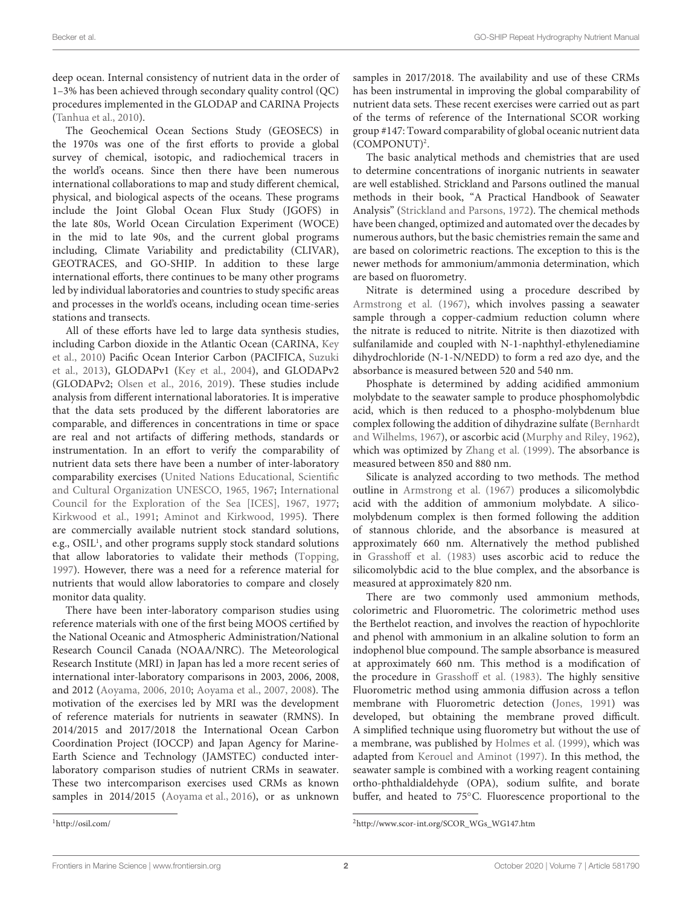deep ocean. Internal consistency of nutrient data in the order of 1–3% has been achieved through secondary quality control (QC) procedures implemented in the GLODAP and CARINA Projects [\(Tanhua et al.,](#page-14-1) [2010\)](#page-14-1).

The Geochemical Ocean Sections Study (GEOSECS) in the 1970s was one of the first efforts to provide a global survey of chemical, isotopic, and radiochemical tracers in the world's oceans. Since then there have been numerous international collaborations to map and study different chemical, physical, and biological aspects of the oceans. These programs include the Joint Global Ocean Flux Study (JGOFS) in the late 80s, World Ocean Circulation Experiment (WOCE) in the mid to late 90s, and the current global programs including, Climate Variability and predictability (CLIVAR), GEOTRACES, and GO-SHIP. In addition to these large international efforts, there continues to be many other programs led by individual laboratories and countries to study specific areas and processes in the world's oceans, including ocean time-series stations and transects.

All of these efforts have led to large data synthesis studies, including Carbon dioxide in the Atlantic Ocean (CARINA, [Key](#page-13-2) [et al.,](#page-13-2) [2010\)](#page-13-2) Pacific Ocean Interior Carbon (PACIFICA, [Suzuki](#page-13-3) [et al.,](#page-13-3) [2013\)](#page-13-3), GLODAPv1 [\(Key et al.,](#page-13-4) [2004\)](#page-13-4), and GLODAPv2 (GLODAPv2; [Olsen et al.,](#page-13-5) [2016,](#page-13-5) [2019\)](#page-13-6). These studies include analysis from different international laboratories. It is imperative that the data sets produced by the different laboratories are comparable, and differences in concentrations in time or space are real and not artifacts of differing methods, standards or instrumentation. In an effort to verify the comparability of nutrient data sets there have been a number of inter-laboratory comparability exercises [\(United Nations Educational, Scientific](#page-14-2) [and Cultural Organization UNESCO,](#page-14-2) [1965,](#page-14-2) [1967;](#page-14-3) [International](#page-13-7) [Council for the Exploration of the Sea \[ICES\],](#page-13-7) [1967,](#page-13-7) [1977;](#page-13-8) [Kirkwood et al.,](#page-13-9) [1991;](#page-13-9) [Aminot and Kirkwood,](#page-13-10) [1995\)](#page-13-10). There are commercially available nutrient stock standard solutions, e.g., OSIL<sup>[1](#page-1-0)</sup>, and other programs supply stock standard solutions that allow laboratories to validate their methods [\(Topping,](#page-14-4) [1997\)](#page-14-4). However, there was a need for a reference material for nutrients that would allow laboratories to compare and closely monitor data quality.

There have been inter-laboratory comparison studies using reference materials with one of the first being MOOS certified by the National Oceanic and Atmospheric Administration/National Research Council Canada (NOAA/NRC). The Meteorological Research Institute (MRI) in Japan has led a more recent series of international inter-laboratory comparisons in 2003, 2006, 2008, and 2012 [\(Aoyama,](#page-13-11) [2006,](#page-13-11) [2010;](#page-13-12) [Aoyama et al.,](#page-13-13) [2007,](#page-13-13) [2008\)](#page-13-14). The motivation of the exercises led by MRI was the development of reference materials for nutrients in seawater (RMNS). In 2014/2015 and 2017/2018 the International Ocean Carbon Coordination Project (IOCCP) and Japan Agency for Marine-Earth Science and Technology (JAMSTEC) conducted interlaboratory comparison studies of nutrient CRMs in seawater. These two intercomparison exercises used CRMs as known samples in 2014/2015 [\(Aoyama et al.,](#page-13-15) [2016\)](#page-13-15), or as unknown

samples in 2017/2018. The availability and use of these CRMs has been instrumental in improving the global comparability of nutrient data sets. These recent exercises were carried out as part of the terms of reference of the International SCOR working group #147: Toward comparability of global oceanic nutrient data (COMPONUT)[2](#page-1-1) .

The basic analytical methods and chemistries that are used to determine concentrations of inorganic nutrients in seawater are well established. Strickland and Parsons outlined the manual methods in their book, "A Practical Handbook of Seawater Analysis" [\(Strickland and Parsons,](#page-13-16) [1972\)](#page-13-16). The chemical methods have been changed, optimized and automated over the decades by numerous authors, but the basic chemistries remain the same and are based on colorimetric reactions. The exception to this is the newer methods for ammonium/ammonia determination, which are based on fluorometry.

Nitrate is determined using a procedure described by [Armstrong et al.](#page-13-17) [\(1967\)](#page-13-17), which involves passing a seawater sample through a copper-cadmium reduction column where the nitrate is reduced to nitrite. Nitrite is then diazotized with sulfanilamide and coupled with N-1-naphthyl-ethylenediamine dihydrochloride (N-1-N/NEDD) to form a red azo dye, and the absorbance is measured between 520 and 540 nm.

Phosphate is determined by adding acidified ammonium molybdate to the seawater sample to produce phosphomolybdic acid, which is then reduced to a phospho-molybdenum blue complex following the addition of dihydrazine sulfate [\(Bernhardt](#page-13-18) [and Wilhelms,](#page-13-18) [1967\)](#page-13-18), or ascorbic acid [\(Murphy and Riley,](#page-13-19) [1962\)](#page-13-19), which was optimized by [Zhang et al.](#page-14-5) [\(1999\)](#page-14-5). The absorbance is measured between 850 and 880 nm.

Silicate is analyzed according to two methods. The method outline in [Armstrong et al.](#page-13-17) [\(1967\)](#page-13-17) produces a silicomolybdic acid with the addition of ammonium molybdate. A silicomolybdenum complex is then formed following the addition of stannous chloride, and the absorbance is measured at approximately 660 nm. Alternatively the method published in [Grasshoff et al.](#page-13-20) [\(1983\)](#page-13-20) uses ascorbic acid to reduce the silicomolybdic acid to the blue complex, and the absorbance is measured at approximately 820 nm.

There are two commonly used ammonium methods, colorimetric and Fluorometric. The colorimetric method uses the Berthelot reaction, and involves the reaction of hypochlorite and phenol with ammonium in an alkaline solution to form an indophenol blue compound. The sample absorbance is measured at approximately 660 nm. This method is a modification of the procedure in [Grasshoff et al.](#page-13-20) [\(1983\)](#page-13-20). The highly sensitive Fluorometric method using ammonia diffusion across a teflon membrane with Fluorometric detection [\(Jones,](#page-13-21) [1991\)](#page-13-21) was developed, but obtaining the membrane proved difficult. A simplified technique using fluorometry but without the use of a membrane, was published by [Holmes et al.](#page-13-22) [\(1999\)](#page-13-22), which was adapted from [Kerouel and Aminot](#page-13-23) [\(1997\)](#page-13-23). In this method, the seawater sample is combined with a working reagent containing ortho-phthaldialdehyde (OPA), sodium sulfite, and borate buffer, and heated to 75◦C. Fluorescence proportional to the

<span id="page-1-0"></span><sup>1</sup><http://osil.com/>

<span id="page-1-1"></span><sup>2</sup>[http://www.scor-int.org/SCOR\\_WGs\\_WG147.htm](http://www.scor-int.org/SCOR_WGs_WG147.htm)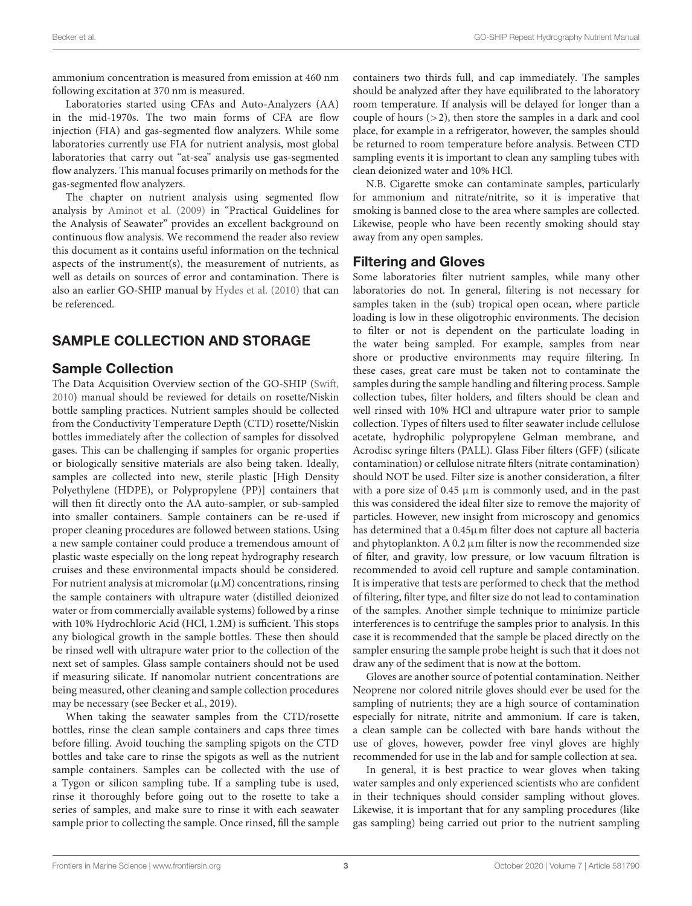ammonium concentration is measured from emission at 460 nm following excitation at 370 nm is measured.

Laboratories started using CFAs and Auto-Analyzers (AA) in the mid-1970s. The two main forms of CFA are flow injection (FIA) and gas-segmented flow analyzers. While some laboratories currently use FIA for nutrient analysis, most global laboratories that carry out "at-sea" analysis use gas-segmented flow analyzers. This manual focuses primarily on methods for the gas-segmented flow analyzers.

The chapter on nutrient analysis using segmented flow analysis by [Aminot et al.](#page-13-24) [\(2009\)](#page-13-24) in "Practical Guidelines for the Analysis of Seawater" provides an excellent background on continuous flow analysis. We recommend the reader also review this document as it contains useful information on the technical aspects of the instrument(s), the measurement of nutrients, as well as details on sources of error and contamination. There is also an earlier GO-SHIP manual by [Hydes et al.](#page-13-25) [\(2010\)](#page-13-25) that can be referenced.

# SAMPLE COLLECTION AND STORAGE

# Sample Collection

The Data Acquisition Overview section of the GO-SHIP [\(Swift,](#page-14-6) [2010\)](#page-14-6) manual should be reviewed for details on rosette/Niskin bottle sampling practices. Nutrient samples should be collected from the Conductivity Temperature Depth (CTD) rosette/Niskin bottles immediately after the collection of samples for dissolved gases. This can be challenging if samples for organic properties or biologically sensitive materials are also being taken. Ideally, samples are collected into new, sterile plastic [High Density Polyethylene (HDPE), or Polypropylene (PP)] containers that will then fit directly onto the AA auto-sampler, or sub-sampled into smaller containers. Sample containers can be re-used if proper cleaning procedures are followed between stations. Using a new sample container could produce a tremendous amount of plastic waste especially on the long repeat hydrography research cruises and these environmental impacts should be considered. For nutrient analysis at micromolar  $(\mu M)$  concentrations, rinsing the sample containers with ultrapure water (distilled deionized water or from commercially available systems) followed by a rinse with 10% Hydrochloric Acid (HCl, 1.2M) is sufficient. This stops any biological growth in the sample bottles. These then should be rinsed well with ultrapure water prior to the collection of the next set of samples. Glass sample containers should not be used if measuring silicate. If nanomolar nutrient concentrations are being measured, other cleaning and sample collection procedures may be necessary (see Becker et al., 2019).

When taking the seawater samples from the CTD/rosette bottles, rinse the clean sample containers and caps three times before filling. Avoid touching the sampling spigots on the CTD bottles and take care to rinse the spigots as well as the nutrient sample containers. Samples can be collected with the use of a Tygon or silicon sampling tube. If a sampling tube is used, rinse it thoroughly before going out to the rosette to take a series of samples, and make sure to rinse it with each seawater sample prior to collecting the sample. Once rinsed, fill the sample containers two thirds full, and cap immediately. The samples should be analyzed after they have equilibrated to the laboratory room temperature. If analysis will be delayed for longer than a couple of hours  $(>2)$ , then store the samples in a dark and cool place, for example in a refrigerator, however, the samples should be returned to room temperature before analysis. Between CTD sampling events it is important to clean any sampling tubes with clean deionized water and 10% HCl.

N.B. Cigarette smoke can contaminate samples, particularly for ammonium and nitrate/nitrite, so it is imperative that smoking is banned close to the area where samples are collected. Likewise, people who have been recently smoking should stay away from any open samples.

### Filtering and Gloves

Some laboratories filter nutrient samples, while many other laboratories do not. In general, filtering is not necessary for samples taken in the (sub) tropical open ocean, where particle loading is low in these oligotrophic environments. The decision to filter or not is dependent on the particulate loading in the water being sampled. For example, samples from near shore or productive environments may require filtering. In these cases, great care must be taken not to contaminate the samples during the sample handling and filtering process. Sample collection tubes, filter holders, and filters should be clean and well rinsed with 10% HCl and ultrapure water prior to sample collection. Types of filters used to filter seawater include cellulose acetate, hydrophilic polypropylene Gelman membrane, and Acrodisc syringe filters (PALL). Glass Fiber filters (GFF) (silicate contamination) or cellulose nitrate filters (nitrate contamination) should NOT be used. Filter size is another consideration, a filter with a pore size of  $0.45 \mu m$  is commonly used, and in the past this was considered the ideal filter size to remove the majority of particles. However, new insight from microscopy and genomics has determined that a 0.45µm filter does not capture all bacteria and phytoplankton. A 0.2  $\mu$ m filter is now the recommended size of filter, and gravity, low pressure, or low vacuum filtration is recommended to avoid cell rupture and sample contamination. It is imperative that tests are performed to check that the method of filtering, filter type, and filter size do not lead to contamination of the samples. Another simple technique to minimize particle interferences is to centrifuge the samples prior to analysis. In this case it is recommended that the sample be placed directly on the sampler ensuring the sample probe height is such that it does not draw any of the sediment that is now at the bottom.

Gloves are another source of potential contamination. Neither Neoprene nor colored nitrile gloves should ever be used for the sampling of nutrients; they are a high source of contamination especially for nitrate, nitrite and ammonium. If care is taken, a clean sample can be collected with bare hands without the use of gloves, however, powder free vinyl gloves are highly recommended for use in the lab and for sample collection at sea.

In general, it is best practice to wear gloves when taking water samples and only experienced scientists who are confident in their techniques should consider sampling without gloves. Likewise, it is important that for any sampling procedures (like gas sampling) being carried out prior to the nutrient sampling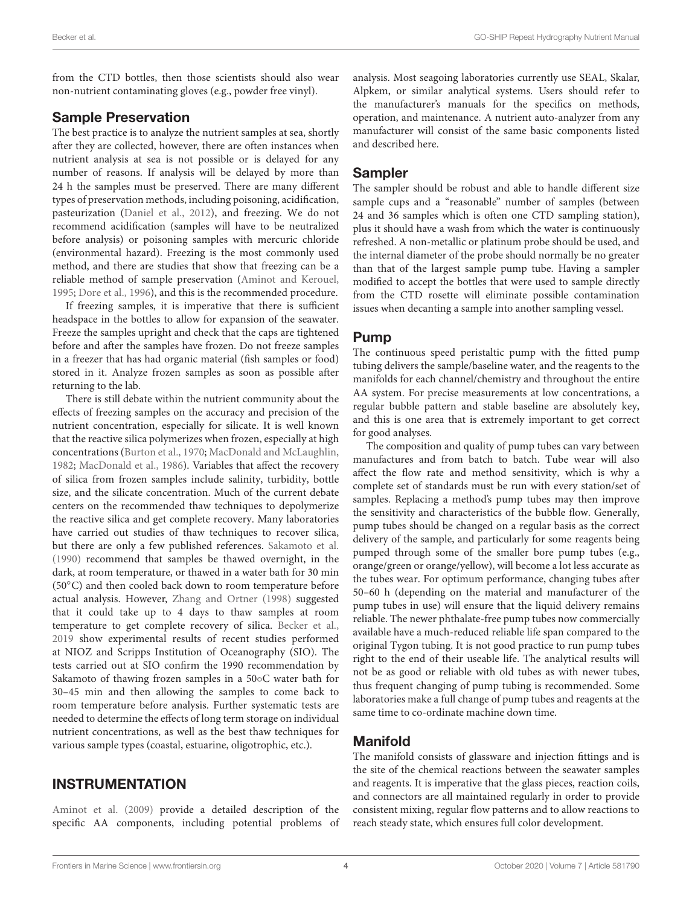from the CTD bottles, then those scientists should also wear non-nutrient contaminating gloves (e.g., powder free vinyl).

### Sample Preservation

The best practice is to analyze the nutrient samples at sea, shortly after they are collected, however, there are often instances when nutrient analysis at sea is not possible or is delayed for any number of reasons. If analysis will be delayed by more than 24 h the samples must be preserved. There are many different types of preservation methods, including poisoning, acidification, pasteurization [\(Daniel et al.,](#page-13-26) [2012\)](#page-13-26), and freezing. We do not recommend acidification (samples will have to be neutralized before analysis) or poisoning samples with mercuric chloride (environmental hazard). Freezing is the most commonly used method, and there are studies that show that freezing can be a reliable method of sample preservation [\(Aminot and Kerouel,](#page-13-27) [1995;](#page-13-27) [Dore et al.,](#page-13-28) [1996\)](#page-13-28), and this is the recommended procedure.

If freezing samples, it is imperative that there is sufficient headspace in the bottles to allow for expansion of the seawater. Freeze the samples upright and check that the caps are tightened before and after the samples have frozen. Do not freeze samples in a freezer that has had organic material (fish samples or food) stored in it. Analyze frozen samples as soon as possible after returning to the lab.

There is still debate within the nutrient community about the effects of freezing samples on the accuracy and precision of the nutrient concentration, especially for silicate. It is well known that the reactive silica polymerizes when frozen, especially at high concentrations [\(Burton et al.,](#page-13-29) [1970;](#page-13-29) [MacDonald and McLaughlin,](#page-13-30) [1982;](#page-13-30) [MacDonald et al.,](#page-13-31) [1986\)](#page-13-31). Variables that affect the recovery of silica from frozen samples include salinity, turbidity, bottle size, and the silicate concentration. Much of the current debate centers on the recommended thaw techniques to depolymerize the reactive silica and get complete recovery. Many laboratories have carried out studies of thaw techniques to recover silica, but there are only a few published references. [Sakamoto et al.](#page-13-32) [\(1990\)](#page-13-32) recommend that samples be thawed overnight, in the dark, at room temperature, or thawed in a water bath for 30 min (50◦C) and then cooled back down to room temperature before actual analysis. However, [Zhang and Ortner](#page-14-7) [\(1998\)](#page-14-7) suggested that it could take up to 4 days to thaw samples at room temperature to get complete recovery of silica. [Becker et al.,](#page-13-33) [2019](#page-13-33) show experimental results of recent studies performed at NIOZ and Scripps Institution of Oceanography (SIO). The tests carried out at SIO confirm the 1990 recommendation by Sakamoto of thawing frozen samples in a 50℃ water bath for 30–45 min and then allowing the samples to come back to room temperature before analysis. Further systematic tests are needed to determine the effects of long term storage on individual nutrient concentrations, as well as the best thaw techniques for various sample types (coastal, estuarine, oligotrophic, etc.).

# INSTRUMENTATION

[Aminot et al.](#page-13-24) [\(2009\)](#page-13-24) provide a detailed description of the specific AA components, including potential problems of analysis. Most seagoing laboratories currently use SEAL, Skalar, Alpkem, or similar analytical systems. Users should refer to the manufacturer's manuals for the specifics on methods, operation, and maintenance. A nutrient auto-analyzer from any manufacturer will consist of the same basic components listed and described here.

### Sampler

The sampler should be robust and able to handle different size sample cups and a "reasonable" number of samples (between 24 and 36 samples which is often one CTD sampling station), plus it should have a wash from which the water is continuously refreshed. A non-metallic or platinum probe should be used, and the internal diameter of the probe should normally be no greater than that of the largest sample pump tube. Having a sampler modified to accept the bottles that were used to sample directly from the CTD rosette will eliminate possible contamination issues when decanting a sample into another sampling vessel.

### Pump

The continuous speed peristaltic pump with the fitted pump tubing delivers the sample/baseline water, and the reagents to the manifolds for each channel/chemistry and throughout the entire AA system. For precise measurements at low concentrations, a regular bubble pattern and stable baseline are absolutely key, and this is one area that is extremely important to get correct for good analyses.

The composition and quality of pump tubes can vary between manufactures and from batch to batch. Tube wear will also affect the flow rate and method sensitivity, which is why a complete set of standards must be run with every station/set of samples. Replacing a method's pump tubes may then improve the sensitivity and characteristics of the bubble flow. Generally, pump tubes should be changed on a regular basis as the correct delivery of the sample, and particularly for some reagents being pumped through some of the smaller bore pump tubes (e.g., orange/green or orange/yellow), will become a lot less accurate as the tubes wear. For optimum performance, changing tubes after 50–60 h (depending on the material and manufacturer of the pump tubes in use) will ensure that the liquid delivery remains reliable. The newer phthalate-free pump tubes now commercially available have a much-reduced reliable life span compared to the original Tygon tubing. It is not good practice to run pump tubes right to the end of their useable life. The analytical results will not be as good or reliable with old tubes as with newer tubes, thus frequent changing of pump tubing is recommended. Some laboratories make a full change of pump tubes and reagents at the same time to co-ordinate machine down time.

# Manifold

The manifold consists of glassware and injection fittings and is the site of the chemical reactions between the seawater samples and reagents. It is imperative that the glass pieces, reaction coils, and connectors are all maintained regularly in order to provide consistent mixing, regular flow patterns and to allow reactions to reach steady state, which ensures full color development.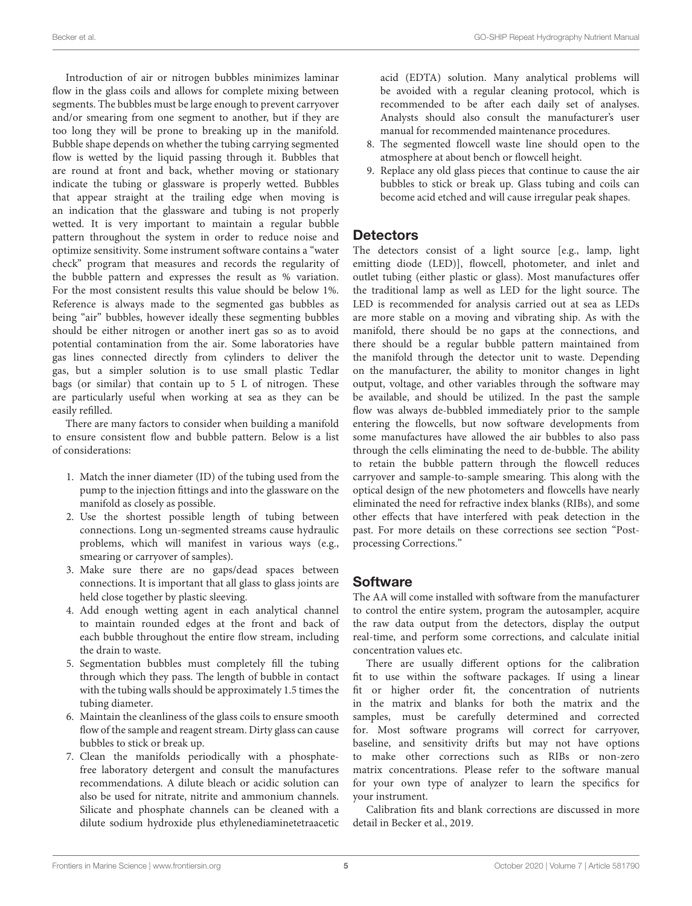Introduction of air or nitrogen bubbles minimizes laminar flow in the glass coils and allows for complete mixing between segments. The bubbles must be large enough to prevent carryover and/or smearing from one segment to another, but if they are too long they will be prone to breaking up in the manifold. Bubble shape depends on whether the tubing carrying segmented flow is wetted by the liquid passing through it. Bubbles that are round at front and back, whether moving or stationary indicate the tubing or glassware is properly wetted. Bubbles that appear straight at the trailing edge when moving is an indication that the glassware and tubing is not properly wetted. It is very important to maintain a regular bubble pattern throughout the system in order to reduce noise and optimize sensitivity. Some instrument software contains a "water check" program that measures and records the regularity of the bubble pattern and expresses the result as % variation. For the most consistent results this value should be below 1%. Reference is always made to the segmented gas bubbles as being "air" bubbles, however ideally these segmenting bubbles should be either nitrogen or another inert gas so as to avoid potential contamination from the air. Some laboratories have gas lines connected directly from cylinders to deliver the gas, but a simpler solution is to use small plastic Tedlar bags (or similar) that contain up to 5 L of nitrogen. These are particularly useful when working at sea as they can be easily refilled.

There are many factors to consider when building a manifold to ensure consistent flow and bubble pattern. Below is a list of considerations:

- 1. Match the inner diameter (ID) of the tubing used from the pump to the injection fittings and into the glassware on the manifold as closely as possible.
- 2. Use the shortest possible length of tubing between connections. Long un-segmented streams cause hydraulic problems, which will manifest in various ways (e.g., smearing or carryover of samples).
- 3. Make sure there are no gaps/dead spaces between connections. It is important that all glass to glass joints are held close together by plastic sleeving.
- 4. Add enough wetting agent in each analytical channel to maintain rounded edges at the front and back of each bubble throughout the entire flow stream, including the drain to waste.
- 5. Segmentation bubbles must completely fill the tubing through which they pass. The length of bubble in contact with the tubing walls should be approximately 1.5 times the tubing diameter.
- 6. Maintain the cleanliness of the glass coils to ensure smooth flow of the sample and reagent stream. Dirty glass can cause bubbles to stick or break up.
- 7. Clean the manifolds periodically with a phosphatefree laboratory detergent and consult the manufactures recommendations. A dilute bleach or acidic solution can also be used for nitrate, nitrite and ammonium channels. Silicate and phosphate channels can be cleaned with a dilute sodium hydroxide plus ethylenediaminetetraacetic

acid (EDTA) solution. Many analytical problems will be avoided with a regular cleaning protocol, which is recommended to be after each daily set of analyses. Analysts should also consult the manufacturer's user manual for recommended maintenance procedures.

- 8. The segmented flowcell waste line should open to the atmosphere at about bench or flowcell height.
- 9. Replace any old glass pieces that continue to cause the air bubbles to stick or break up. Glass tubing and coils can become acid etched and will cause irregular peak shapes.

# **Detectors**

The detectors consist of a light source [e.g., lamp, light emitting diode (LED)], flowcell, photometer, and inlet and outlet tubing (either plastic or glass). Most manufactures offer the traditional lamp as well as LED for the light source. The LED is recommended for analysis carried out at sea as LEDs are more stable on a moving and vibrating ship. As with the manifold, there should be no gaps at the connections, and there should be a regular bubble pattern maintained from the manifold through the detector unit to waste. Depending on the manufacturer, the ability to monitor changes in light output, voltage, and other variables through the software may be available, and should be utilized. In the past the sample flow was always de-bubbled immediately prior to the sample entering the flowcells, but now software developments from some manufactures have allowed the air bubbles to also pass through the cells eliminating the need to de-bubble. The ability to retain the bubble pattern through the flowcell reduces carryover and sample-to-sample smearing. This along with the optical design of the new photometers and flowcells have nearly eliminated the need for refractive index blanks (RIBs), and some other effects that have interfered with peak detection in the past. For more details on these corrections see section "Postprocessing Corrections."

# Software

The AA will come installed with software from the manufacturer to control the entire system, program the autosampler, acquire the raw data output from the detectors, display the output real-time, and perform some corrections, and calculate initial concentration values etc.

There are usually different options for the calibration fit to use within the software packages. If using a linear fit or higher order fit, the concentration of nutrients in the matrix and blanks for both the matrix and the samples, must be carefully determined and corrected for. Most software programs will correct for carryover, baseline, and sensitivity drifts but may not have options to make other corrections such as RIBs or non-zero matrix concentrations. Please refer to the software manual for your own type of analyzer to learn the specifics for your instrument.

Calibration fits and blank corrections are discussed in more detail in Becker et al., 2019.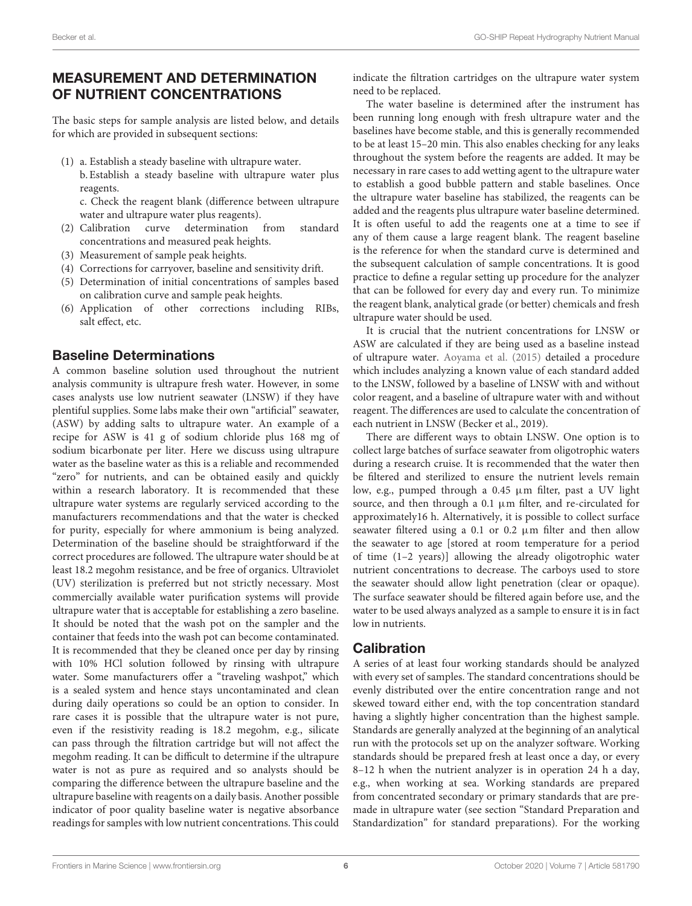# MEASUREMENT AND DETERMINATION OF NUTRIENT CONCENTRATIONS

The basic steps for sample analysis are listed below, and details for which are provided in subsequent sections:

(1) a. Establish a steady baseline with ultrapure water. b. Establish a steady baseline with ultrapure water plus reagents.

c. Check the reagent blank (difference between ultrapure water and ultrapure water plus reagents).

- (2) Calibration curve determination from standard concentrations and measured peak heights.
- (3) Measurement of sample peak heights.
- (4) Corrections for carryover, baseline and sensitivity drift.
- (5) Determination of initial concentrations of samples based on calibration curve and sample peak heights.
- (6) Application of other corrections including RIBs, salt effect, etc.

# Baseline Determinations

A common baseline solution used throughout the nutrient analysis community is ultrapure fresh water. However, in some cases analysts use low nutrient seawater (LNSW) if they have plentiful supplies. Some labs make their own "artificial" seawater, (ASW) by adding salts to ultrapure water. An example of a recipe for ASW is 41 g of sodium chloride plus 168 mg of sodium bicarbonate per liter. Here we discuss using ultrapure water as the baseline water as this is a reliable and recommended "zero" for nutrients, and can be obtained easily and quickly within a research laboratory. It is recommended that these ultrapure water systems are regularly serviced according to the manufacturers recommendations and that the water is checked for purity, especially for where ammonium is being analyzed. Determination of the baseline should be straightforward if the correct procedures are followed. The ultrapure water should be at least 18.2 megohm resistance, and be free of organics. Ultraviolet (UV) sterilization is preferred but not strictly necessary. Most commercially available water purification systems will provide ultrapure water that is acceptable for establishing a zero baseline. It should be noted that the wash pot on the sampler and the container that feeds into the wash pot can become contaminated. It is recommended that they be cleaned once per day by rinsing with 10% HCl solution followed by rinsing with ultrapure water. Some manufacturers offer a "traveling washpot," which is a sealed system and hence stays uncontaminated and clean during daily operations so could be an option to consider. In rare cases it is possible that the ultrapure water is not pure, even if the resistivity reading is 18.2 megohm, e.g., silicate can pass through the filtration cartridge but will not affect the megohm reading. It can be difficult to determine if the ultrapure water is not as pure as required and so analysts should be comparing the difference between the ultrapure baseline and the ultrapure baseline with reagents on a daily basis. Another possible indicator of poor quality baseline water is negative absorbance readings for samples with low nutrient concentrations. This could

indicate the filtration cartridges on the ultrapure water system need to be replaced.

The water baseline is determined after the instrument has been running long enough with fresh ultrapure water and the baselines have become stable, and this is generally recommended to be at least 15–20 min. This also enables checking for any leaks throughout the system before the reagents are added. It may be necessary in rare cases to add wetting agent to the ultrapure water to establish a good bubble pattern and stable baselines. Once the ultrapure water baseline has stabilized, the reagents can be added and the reagents plus ultrapure water baseline determined. It is often useful to add the reagents one at a time to see if any of them cause a large reagent blank. The reagent baseline is the reference for when the standard curve is determined and the subsequent calculation of sample concentrations. It is good practice to define a regular setting up procedure for the analyzer that can be followed for every day and every run. To minimize the reagent blank, analytical grade (or better) chemicals and fresh ultrapure water should be used.

It is crucial that the nutrient concentrations for LNSW or ASW are calculated if they are being used as a baseline instead of ultrapure water. [Aoyama et al.](#page-13-34) [\(2015\)](#page-13-34) detailed a procedure which includes analyzing a known value of each standard added to the LNSW, followed by a baseline of LNSW with and without color reagent, and a baseline of ultrapure water with and without reagent. The differences are used to calculate the concentration of each nutrient in LNSW (Becker et al., 2019).

There are different ways to obtain LNSW. One option is to collect large batches of surface seawater from oligotrophic waters during a research cruise. It is recommended that the water then be filtered and sterilized to ensure the nutrient levels remain low, e.g., pumped through a 0.45 µm filter, past a UV light source, and then through a 0.1 µm filter, and re-circulated for approximately16 h. Alternatively, it is possible to collect surface seawater filtered using a 0.1 or 0.2  $\mu$ m filter and then allow the seawater to age [stored at room temperature for a period of time (1–2 years)] allowing the already oligotrophic water nutrient concentrations to decrease. The carboys used to store the seawater should allow light penetration (clear or opaque). The surface seawater should be filtered again before use, and the water to be used always analyzed as a sample to ensure it is in fact low in nutrients.

# **Calibration**

A series of at least four working standards should be analyzed with every set of samples. The standard concentrations should be evenly distributed over the entire concentration range and not skewed toward either end, with the top concentration standard having a slightly higher concentration than the highest sample. Standards are generally analyzed at the beginning of an analytical run with the protocols set up on the analyzer software. Working standards should be prepared fresh at least once a day, or every 8–12 h when the nutrient analyzer is in operation 24 h a day, e.g., when working at sea. Working standards are prepared from concentrated secondary or primary standards that are premade in ultrapure water (see section "Standard Preparation and Standardization" for standard preparations). For the working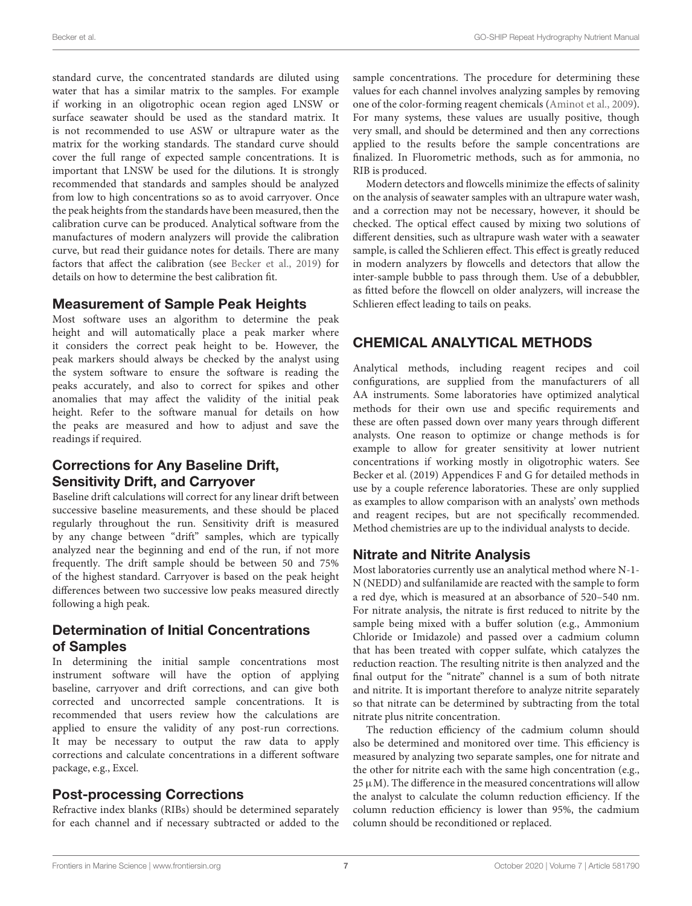standard curve, the concentrated standards are diluted using water that has a similar matrix to the samples. For example if working in an oligotrophic ocean region aged LNSW or surface seawater should be used as the standard matrix. It is not recommended to use ASW or ultrapure water as the matrix for the working standards. The standard curve should cover the full range of expected sample concentrations. It is important that LNSW be used for the dilutions. It is strongly recommended that standards and samples should be analyzed from low to high concentrations so as to avoid carryover. Once the peak heights from the standards have been measured, then the calibration curve can be produced. Analytical software from the manufactures of modern analyzers will provide the calibration curve, but read their guidance notes for details. There are many factors that affect the calibration (see [Becker et al.,](#page-13-33) [2019\)](#page-13-33) for details on how to determine the best calibration fit.

### Measurement of Sample Peak Heights

Most software uses an algorithm to determine the peak height and will automatically place a peak marker where it considers the correct peak height to be. However, the peak markers should always be checked by the analyst using the system software to ensure the software is reading the peaks accurately, and also to correct for spikes and other anomalies that may affect the validity of the initial peak height. Refer to the software manual for details on how the peaks are measured and how to adjust and save the readings if required.

# Corrections for Any Baseline Drift, Sensitivity Drift, and Carryover

Baseline drift calculations will correct for any linear drift between successive baseline measurements, and these should be placed regularly throughout the run. Sensitivity drift is measured by any change between "drift" samples, which are typically analyzed near the beginning and end of the run, if not more frequently. The drift sample should be between 50 and 75% of the highest standard. Carryover is based on the peak height differences between two successive low peaks measured directly following a high peak.

# Determination of Initial Concentrations of Samples

In determining the initial sample concentrations most instrument software will have the option of applying baseline, carryover and drift corrections, and can give both corrected and uncorrected sample concentrations. It is recommended that users review how the calculations are applied to ensure the validity of any post-run corrections. It may be necessary to output the raw data to apply corrections and calculate concentrations in a different software package, e.g., Excel.

# Post-processing Corrections

Refractive index blanks (RIBs) should be determined separately for each channel and if necessary subtracted or added to the sample concentrations. The procedure for determining these values for each channel involves analyzing samples by removing one of the color-forming reagent chemicals [\(Aminot et al.,](#page-13-24) [2009\)](#page-13-24). For many systems, these values are usually positive, though very small, and should be determined and then any corrections applied to the results before the sample concentrations are finalized. In Fluorometric methods, such as for ammonia, no RIB is produced.

Modern detectors and flowcells minimize the effects of salinity on the analysis of seawater samples with an ultrapure water wash, and a correction may not be necessary, however, it should be checked. The optical effect caused by mixing two solutions of different densities, such as ultrapure wash water with a seawater sample, is called the Schlieren effect. This effect is greatly reduced in modern analyzers by flowcells and detectors that allow the inter-sample bubble to pass through them. Use of a debubbler, as fitted before the flowcell on older analyzers, will increase the Schlieren effect leading to tails on peaks.

# CHEMICAL ANALYTICAL METHODS

Analytical methods, including reagent recipes and coil configurations, are supplied from the manufacturers of all AA instruments. Some laboratories have optimized analytical methods for their own use and specific requirements and these are often passed down over many years through different analysts. One reason to optimize or change methods is for example to allow for greater sensitivity at lower nutrient concentrations if working mostly in oligotrophic waters. See Becker et al. (2019) Appendices F and G for detailed methods in use by a couple reference laboratories. These are only supplied as examples to allow comparison with an analysts' own methods and reagent recipes, but are not specifically recommended. Method chemistries are up to the individual analysts to decide.

# Nitrate and Nitrite Analysis

Most laboratories currently use an analytical method where N-1- N (NEDD) and sulfanilamide are reacted with the sample to form a red dye, which is measured at an absorbance of 520–540 nm. For nitrate analysis, the nitrate is first reduced to nitrite by the sample being mixed with a buffer solution (e.g., Ammonium Chloride or Imidazole) and passed over a cadmium column that has been treated with copper sulfate, which catalyzes the reduction reaction. The resulting nitrite is then analyzed and the final output for the "nitrate" channel is a sum of both nitrate and nitrite. It is important therefore to analyze nitrite separately so that nitrate can be determined by subtracting from the total nitrate plus nitrite concentration.

The reduction efficiency of the cadmium column should also be determined and monitored over time. This efficiency is measured by analyzing two separate samples, one for nitrate and the other for nitrite each with the same high concentration (e.g.,  $25 \mu$ M). The difference in the measured concentrations will allow the analyst to calculate the column reduction efficiency. If the column reduction efficiency is lower than 95%, the cadmium column should be reconditioned or replaced.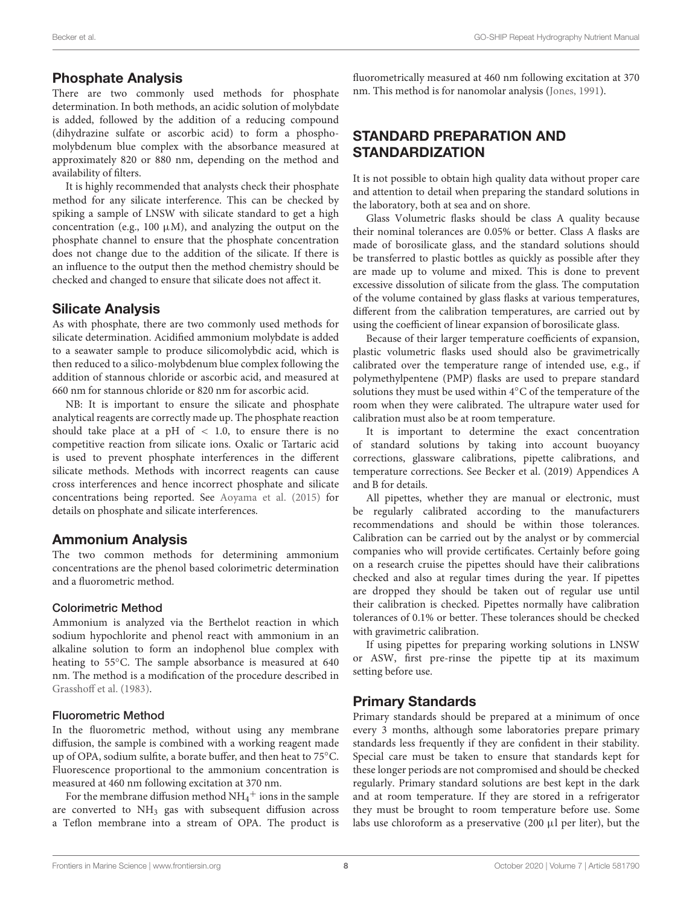### Phosphate Analysis

There are two commonly used methods for phosphate determination. In both methods, an acidic solution of molybdate is added, followed by the addition of a reducing compound (dihydrazine sulfate or ascorbic acid) to form a phosphomolybdenum blue complex with the absorbance measured at approximately 820 or 880 nm, depending on the method and availability of filters.

It is highly recommended that analysts check their phosphate method for any silicate interference. This can be checked by spiking a sample of LNSW with silicate standard to get a high concentration (e.g., 100  $\mu$ M), and analyzing the output on the phosphate channel to ensure that the phosphate concentration does not change due to the addition of the silicate. If there is an influence to the output then the method chemistry should be checked and changed to ensure that silicate does not affect it.

### Silicate Analysis

As with phosphate, there are two commonly used methods for silicate determination. Acidified ammonium molybdate is added to a seawater sample to produce silicomolybdic acid, which is then reduced to a silico-molybdenum blue complex following the addition of stannous chloride or ascorbic acid, and measured at 660 nm for stannous chloride or 820 nm for ascorbic acid.

NB: It is important to ensure the silicate and phosphate analytical reagents are correctly made up. The phosphate reaction should take place at a pH of  $< 1.0$ , to ensure there is no competitive reaction from silicate ions. Oxalic or Tartaric acid is used to prevent phosphate interferences in the different silicate methods. Methods with incorrect reagents can cause cross interferences and hence incorrect phosphate and silicate concentrations being reported. See [Aoyama et al.](#page-13-34) [\(2015\)](#page-13-34) for details on phosphate and silicate interferences.

# Ammonium Analysis

The two common methods for determining ammonium concentrations are the phenol based colorimetric determination and a fluorometric method.

### Colorimetric Method

Ammonium is analyzed via the Berthelot reaction in which sodium hypochlorite and phenol react with ammonium in an alkaline solution to form an indophenol blue complex with heating to 55◦C. The sample absorbance is measured at 640 nm. The method is a modification of the procedure described in [Grasshoff et al.](#page-13-20) [\(1983\)](#page-13-20).

#### Fluorometric Method

In the fluorometric method, without using any membrane diffusion, the sample is combined with a working reagent made up of OPA, sodium sulfite, a borate buffer, and then heat to 75◦C. Fluorescence proportional to the ammonium concentration is measured at 460 nm following excitation at 370 nm.

For the membrane diffusion method  $\mathrm{NH_4}^+$  ions in the sample are converted to NH<sup>3</sup> gas with subsequent diffusion across a Teflon membrane into a stream of OPA. The product is fluorometrically measured at 460 nm following excitation at 370 nm. This method is for nanomolar analysis [\(Jones,](#page-13-21) [1991\)](#page-13-21).

# STANDARD PREPARATION AND STANDARDIZATION

It is not possible to obtain high quality data without proper care and attention to detail when preparing the standard solutions in the laboratory, both at sea and on shore.

Glass Volumetric flasks should be class A quality because their nominal tolerances are 0.05% or better. Class A flasks are made of borosilicate glass, and the standard solutions should be transferred to plastic bottles as quickly as possible after they are made up to volume and mixed. This is done to prevent excessive dissolution of silicate from the glass. The computation of the volume contained by glass flasks at various temperatures, different from the calibration temperatures, are carried out by using the coefficient of linear expansion of borosilicate glass.

Because of their larger temperature coefficients of expansion, plastic volumetric flasks used should also be gravimetrically calibrated over the temperature range of intended use, e.g., if polymethylpentene (PMP) flasks are used to prepare standard solutions they must be used within 4◦C of the temperature of the room when they were calibrated. The ultrapure water used for calibration must also be at room temperature.

It is important to determine the exact concentration of standard solutions by taking into account buoyancy corrections, glassware calibrations, pipette calibrations, and temperature corrections. See Becker et al. (2019) Appendices A and B for details.

All pipettes, whether they are manual or electronic, must be regularly calibrated according to the manufacturers recommendations and should be within those tolerances. Calibration can be carried out by the analyst or by commercial companies who will provide certificates. Certainly before going on a research cruise the pipettes should have their calibrations checked and also at regular times during the year. If pipettes are dropped they should be taken out of regular use until their calibration is checked. Pipettes normally have calibration tolerances of 0.1% or better. These tolerances should be checked with gravimetric calibration.

If using pipettes for preparing working solutions in LNSW or ASW, first pre-rinse the pipette tip at its maximum setting before use.

# Primary Standards

Primary standards should be prepared at a minimum of once every 3 months, although some laboratories prepare primary standards less frequently if they are confident in their stability. Special care must be taken to ensure that standards kept for these longer periods are not compromised and should be checked regularly. Primary standard solutions are best kept in the dark and at room temperature. If they are stored in a refrigerator they must be brought to room temperature before use. Some labs use chloroform as a preservative  $(200 \mu l \text{ per liter})$ , but the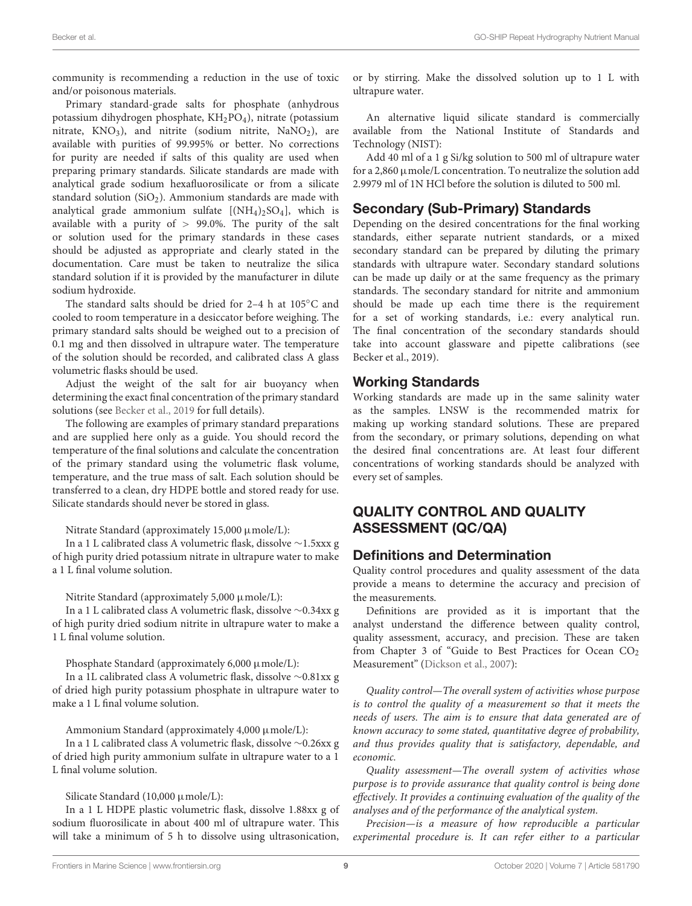community is recommending a reduction in the use of toxic and/or poisonous materials.

Primary standard-grade salts for phosphate (anhydrous potassium dihydrogen phosphate, KH2PO4), nitrate (potassium nitrate,  $KNO_3$ ), and nitrite (sodium nitrite,  $NaNO_2$ ), are available with purities of 99.995% or better. No corrections for purity are needed if salts of this quality are used when preparing primary standards. Silicate standards are made with analytical grade sodium hexafluorosilicate or from a silicate standard solution (SiO<sub>2</sub>). Ammonium standards are made with analytical grade ammonium sulfate  $[(NH_4)_2SO_4]$ , which is available with a purity of > 99.0%. The purity of the salt or solution used for the primary standards in these cases should be adjusted as appropriate and clearly stated in the documentation. Care must be taken to neutralize the silica standard solution if it is provided by the manufacturer in dilute sodium hydroxide.

The standard salts should be dried for 2–4 h at 105◦C and cooled to room temperature in a desiccator before weighing. The primary standard salts should be weighed out to a precision of 0.1 mg and then dissolved in ultrapure water. The temperature of the solution should be recorded, and calibrated class A glass volumetric flasks should be used.

Adjust the weight of the salt for air buoyancy when determining the exact final concentration of the primary standard solutions (see [Becker et al.,](#page-13-33) [2019](#page-13-33) for full details).

The following are examples of primary standard preparations and are supplied here only as a guide. You should record the temperature of the final solutions and calculate the concentration of the primary standard using the volumetric flask volume, temperature, and the true mass of salt. Each solution should be transferred to a clean, dry HDPE bottle and stored ready for use. Silicate standards should never be stored in glass.

Nitrate Standard (approximately 15,000 µmole/L):

In a 1 L calibrated class A volumetric flask, dissolve ∼1.5xxx g of high purity dried potassium nitrate in ultrapure water to make a 1 L final volume solution.

Nitrite Standard (approximately 5,000  $\mu$ mole/L):

In a 1 L calibrated class A volumetric flask, dissolve ∼0.34xx g of high purity dried sodium nitrite in ultrapure water to make a 1 L final volume solution.

Phosphate Standard (approximately  $6,000 \mu$  mole/L):

In a 1L calibrated class A volumetric flask, dissolve ∼0.81xx g of dried high purity potassium phosphate in ultrapure water to make a 1 L final volume solution.

Ammonium Standard (approximately 4,000  $\mu$ mole/L):

In a 1 L calibrated class A volumetric flask, dissolve ∼0.26xx g of dried high purity ammonium sulfate in ultrapure water to a 1 L final volume solution.

#### Silicate Standard (10,000 µmole/L):

In a 1 L HDPE plastic volumetric flask, dissolve 1.88xx g of sodium fluorosilicate in about 400 ml of ultrapure water. This will take a minimum of 5 h to dissolve using ultrasonication, or by stirring. Make the dissolved solution up to 1 L with ultrapure water.

An alternative liquid silicate standard is commercially available from the National Institute of Standards and Technology (NIST):

Add 40 ml of a 1 g Si/kg solution to 500 ml of ultrapure water for a 2,860 µmole/L concentration. To neutralize the solution add 2.9979 ml of 1N HCl before the solution is diluted to 500 ml.

### Secondary (Sub-Primary) Standards

Depending on the desired concentrations for the final working standards, either separate nutrient standards, or a mixed secondary standard can be prepared by diluting the primary standards with ultrapure water. Secondary standard solutions can be made up daily or at the same frequency as the primary standards. The secondary standard for nitrite and ammonium should be made up each time there is the requirement for a set of working standards, i.e.: every analytical run. The final concentration of the secondary standards should take into account glassware and pipette calibrations (see Becker et al., 2019).

### Working Standards

Working standards are made up in the same salinity water as the samples. LNSW is the recommended matrix for making up working standard solutions. These are prepared from the secondary, or primary solutions, depending on what the desired final concentrations are. At least four different concentrations of working standards should be analyzed with every set of samples.

# QUALITY CONTROL AND QUALITY ASSESSMENT (QC/QA)

### Definitions and Determination

Quality control procedures and quality assessment of the data provide a means to determine the accuracy and precision of the measurements.

Definitions are provided as it is important that the analyst understand the difference between quality control, quality assessment, accuracy, and precision. These are taken from Chapter 3 of "Guide to Best Practices for Ocean CO<sub>2</sub> Measurement" [\(Dickson et al.,](#page-13-35) [2007\)](#page-13-35):

Quality control—The overall system of activities whose purpose is to control the quality of a measurement so that it meets the needs of users. The aim is to ensure that data generated are of known accuracy to some stated, quantitative degree of probability, and thus provides quality that is satisfactory, dependable, and economic.

Quality assessment—The overall system of activities whose purpose is to provide assurance that quality control is being done effectively. It provides a continuing evaluation of the quality of the analyses and of the performance of the analytical system.

Precision—is a measure of how reproducible a particular experimental procedure is. It can refer either to a particular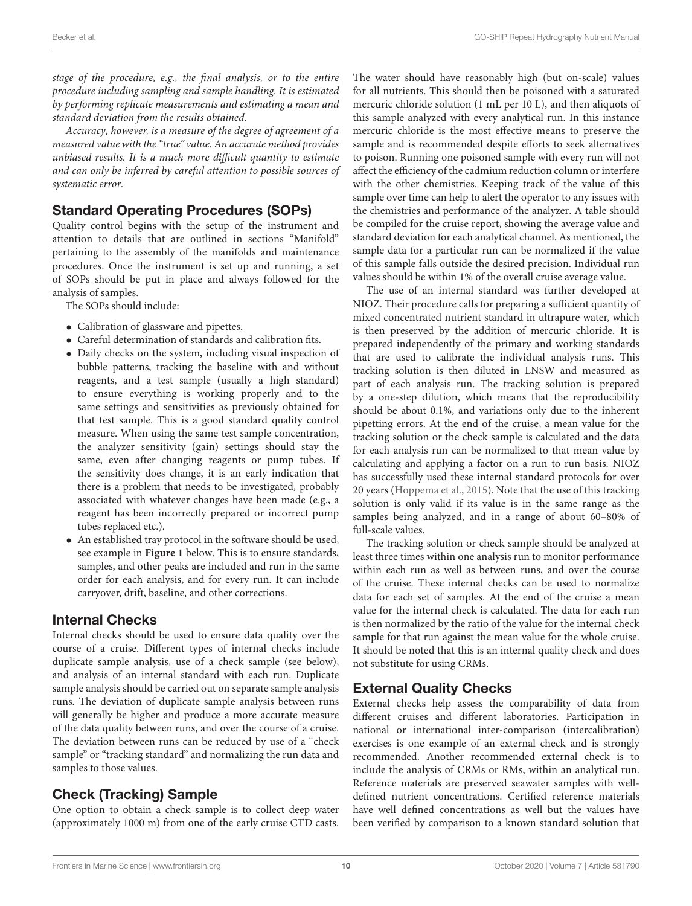stage of the procedure, e.g., the final analysis, or to the entire procedure including sampling and sample handling. It is estimated by performing replicate measurements and estimating a mean and standard deviation from the results obtained.

Accuracy, however, is a measure of the degree of agreement of a measured value with the "true" value. An accurate method provides unbiased results. It is a much more difficult quantity to estimate and can only be inferred by careful attention to possible sources of systematic error.

# Standard Operating Procedures (SOPs)

Quality control begins with the setup of the instrument and attention to details that are outlined in sections "Manifold" pertaining to the assembly of the manifolds and maintenance procedures. Once the instrument is set up and running, a set of SOPs should be put in place and always followed for the analysis of samples.

The SOPs should include:

- Calibration of glassware and pipettes.
- Careful determination of standards and calibration fits.
- Daily checks on the system, including visual inspection of bubble patterns, tracking the baseline with and without reagents, and a test sample (usually a high standard) to ensure everything is working properly and to the same settings and sensitivities as previously obtained for that test sample. This is a good standard quality control measure. When using the same test sample concentration, the analyzer sensitivity (gain) settings should stay the same, even after changing reagents or pump tubes. If the sensitivity does change, it is an early indication that there is a problem that needs to be investigated, probably associated with whatever changes have been made (e.g., a reagent has been incorrectly prepared or incorrect pump tubes replaced etc.).
- An established tray protocol in the software should be used, see example in **[Figure 1](#page-10-0)** below. This is to ensure standards, samples, and other peaks are included and run in the same order for each analysis, and for every run. It can include carryover, drift, baseline, and other corrections.

# Internal Checks

Internal checks should be used to ensure data quality over the course of a cruise. Different types of internal checks include duplicate sample analysis, use of a check sample (see below), and analysis of an internal standard with each run. Duplicate sample analysis should be carried out on separate sample analysis runs. The deviation of duplicate sample analysis between runs will generally be higher and produce a more accurate measure of the data quality between runs, and over the course of a cruise. The deviation between runs can be reduced by use of a "check sample" or "tracking standard" and normalizing the run data and samples to those values.

# Check (Tracking) Sample

One option to obtain a check sample is to collect deep water (approximately 1000 m) from one of the early cruise CTD casts. The water should have reasonably high (but on-scale) values for all nutrients. This should then be poisoned with a saturated mercuric chloride solution (1 mL per 10 L), and then aliquots of this sample analyzed with every analytical run. In this instance mercuric chloride is the most effective means to preserve the sample and is recommended despite efforts to seek alternatives to poison. Running one poisoned sample with every run will not affect the efficiency of the cadmium reduction column or interfere with the other chemistries. Keeping track of the value of this sample over time can help to alert the operator to any issues with the chemistries and performance of the analyzer. A table should be compiled for the cruise report, showing the average value and standard deviation for each analytical channel. As mentioned, the sample data for a particular run can be normalized if the value of this sample falls outside the desired precision. Individual run values should be within 1% of the overall cruise average value.

The use of an internal standard was further developed at NIOZ. Their procedure calls for preparing a sufficient quantity of mixed concentrated nutrient standard in ultrapure water, which is then preserved by the addition of mercuric chloride. It is prepared independently of the primary and working standards that are used to calibrate the individual analysis runs. This tracking solution is then diluted in LNSW and measured as part of each analysis run. The tracking solution is prepared by a one-step dilution, which means that the reproducibility should be about 0.1%, and variations only due to the inherent pipetting errors. At the end of the cruise, a mean value for the tracking solution or the check sample is calculated and the data for each analysis run can be normalized to that mean value by calculating and applying a factor on a run to run basis. NIOZ has successfully used these internal standard protocols for over 20 years [\(Hoppema et al.,](#page-13-36) [2015\)](#page-13-36). Note that the use of this tracking solution is only valid if its value is in the same range as the samples being analyzed, and in a range of about 60–80% of full-scale values.

The tracking solution or check sample should be analyzed at least three times within one analysis run to monitor performance within each run as well as between runs, and over the course of the cruise. These internal checks can be used to normalize data for each set of samples. At the end of the cruise a mean value for the internal check is calculated. The data for each run is then normalized by the ratio of the value for the internal check sample for that run against the mean value for the whole cruise. It should be noted that this is an internal quality check and does not substitute for using CRMs.

# External Quality Checks

External checks help assess the comparability of data from different cruises and different laboratories. Participation in national or international inter-comparison (intercalibration) exercises is one example of an external check and is strongly recommended. Another recommended external check is to include the analysis of CRMs or RMs, within an analytical run. Reference materials are preserved seawater samples with welldefined nutrient concentrations. Certified reference materials have well defined concentrations as well but the values have been verified by comparison to a known standard solution that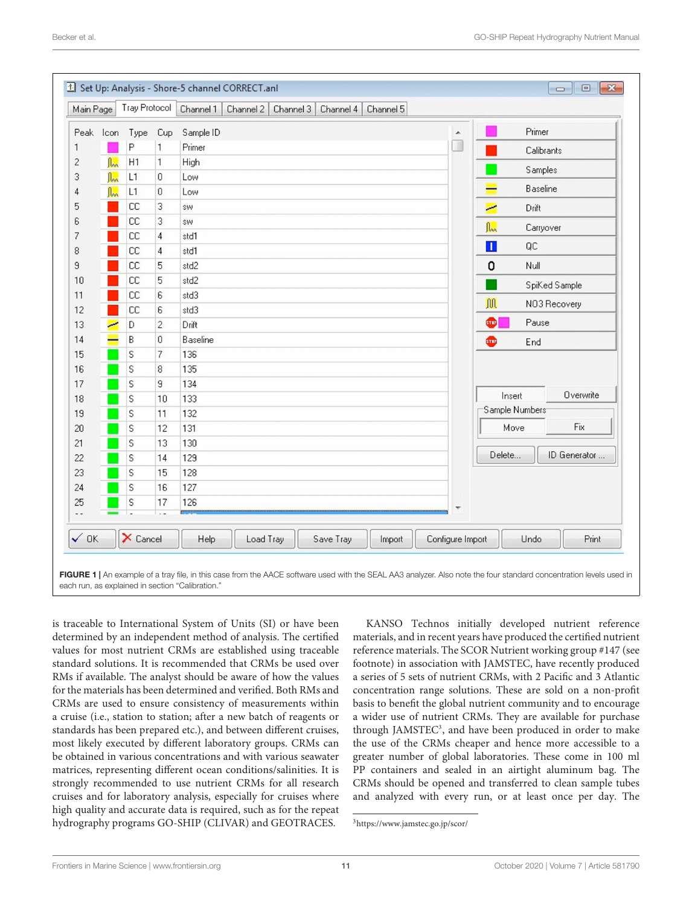| Main Page       |     | Tray Protocol   |                            | Channel 1  | Channel 2 Channel 3 | Channel 4 | Channel 5 |                  |                          |               |              |  |
|-----------------|-----|-----------------|----------------------------|------------|---------------------|-----------|-----------|------------------|--------------------------|---------------|--------------|--|
| Peak Icon       |     | Type            | Cup<br>Sample ID           |            |                     |           |           |                  | Primer                   |               |              |  |
| 1               |     | Ρ               | 1                          | Primer     |                     |           |           |                  | Calibrants               |               |              |  |
| 2               | Im  | H <sub>1</sub>  | 1                          | High       |                     |           |           |                  |                          | Samples       |              |  |
| 3               | Ilm | L1              | 0                          | Low        |                     |           |           |                  |                          |               |              |  |
| 4               | 瓜   | L1              | 0                          | Low        |                     |           |           |                  |                          | Baseline      |              |  |
| 5               |     | CC              | 3                          | <b>SW</b>  |                     |           |           |                  | ≂                        | Drift         |              |  |
| 6               |     | СC              | 3                          | <b>SW</b>  |                     |           |           |                  | $\mathbb{I}_{\infty}$    | Carryover     |              |  |
| 7               |     | СC              | 4                          | std1       |                     |           |           |                  |                          |               |              |  |
| 8               |     | CC              | 4                          | std1       |                     |           |           |                  | T                        | QC            |              |  |
| 9               |     | CC              | 5                          | std2       |                     |           |           |                  | 0                        | Null          |              |  |
| 10              |     | CC              | 5                          | std2       |                     |           |           |                  |                          | SpiKed Sample |              |  |
| 11              |     | CC              | 6                          | std3       |                     |           |           |                  | 皿                        | NO3 Recovery  |              |  |
| 12              |     | CC              | 6                          | std3       |                     |           |           |                  |                          |               |              |  |
| 13              | س   | D               | 2                          | Drift      |                     |           |           |                  | Œ                        | Pause         |              |  |
| 14              |     | B               | 0                          | Baseline   |                     |           |           |                  | E<br>End                 |               |              |  |
| 15              |     | S               | 7                          | 136        |                     |           |           |                  |                          |               |              |  |
| 16              |     | S               | 8                          | 135        |                     |           |           |                  |                          |               |              |  |
| 17              |     | S               | 9                          | 134        |                     |           |           |                  |                          |               | Overwrite    |  |
| 18              |     | S               | 10                         | 133        |                     |           |           |                  | Insert<br>Sample Numbers |               |              |  |
| 19              |     | S               | 11                         | 132        |                     |           |           |                  |                          |               |              |  |
| 20              |     | S               | 12                         | 131        |                     |           |           |                  |                          | Move          | Fix          |  |
| 21              |     | S               | 13                         | 130        |                     |           |           |                  | Delete                   |               | ID Generator |  |
| 22              |     | S               | 14                         | 129        |                     |           |           |                  |                          |               |              |  |
| 23              |     | S               | 15<br>16                   | 128<br>127 |                     |           |           |                  |                          |               |              |  |
| 24              |     | S               |                            | 126        |                     |           |           |                  |                          |               |              |  |
| 25<br>$ -$      |     | S               | 17<br>$\ddot{\phantom{1}}$ |            |                     |           |           |                  |                          |               |              |  |
| $\checkmark$ ok |     | $\times$ Cancel |                            | Help       | Load Tray           | Save Tray | Import    | Configure Import |                          | Undo          | Print        |  |

<span id="page-10-0"></span>is traceable to International System of Units (SI) or have been determined by an independent method of analysis. The certified values for most nutrient CRMs are established using traceable standard solutions. It is recommended that CRMs be used over RMs if available. The analyst should be aware of how the values for the materials has been determined and verified. Both RMs and CRMs are used to ensure consistency of measurements within a cruise (i.e., station to station; after a new batch of reagents or standards has been prepared etc.), and between different cruises, most likely executed by different laboratory groups. CRMs can be obtained in various concentrations and with various seawater matrices, representing different ocean conditions/salinities. It is strongly recommended to use nutrient CRMs for all research cruises and for laboratory analysis, especially for cruises where high quality and accurate data is required, such as for the repeat hydrography programs GO-SHIP (CLIVAR) and GEOTRACES.

KANSO Technos initially developed nutrient reference materials, and in recent years have produced the certified nutrient reference materials. The SCOR Nutrient working group #147 (see footnote) in association with JAMSTEC, have recently produced a series of 5 sets of nutrient CRMs, with 2 Pacific and 3 Atlantic concentration range solutions. These are sold on a non-profit basis to benefit the global nutrient community and to encourage a wider use of nutrient CRMs. They are available for purchase through JAMSTEC<sup>[3](#page-10-1)</sup>, and have been produced in order to make the use of the CRMs cheaper and hence more accessible to a greater number of global laboratories. These come in 100 ml PP containers and sealed in an airtight aluminum bag. The CRMs should be opened and transferred to clean sample tubes and analyzed with every run, or at least once per day. The

<span id="page-10-1"></span><sup>3</sup><https://www.jamstec.go.jp/scor/>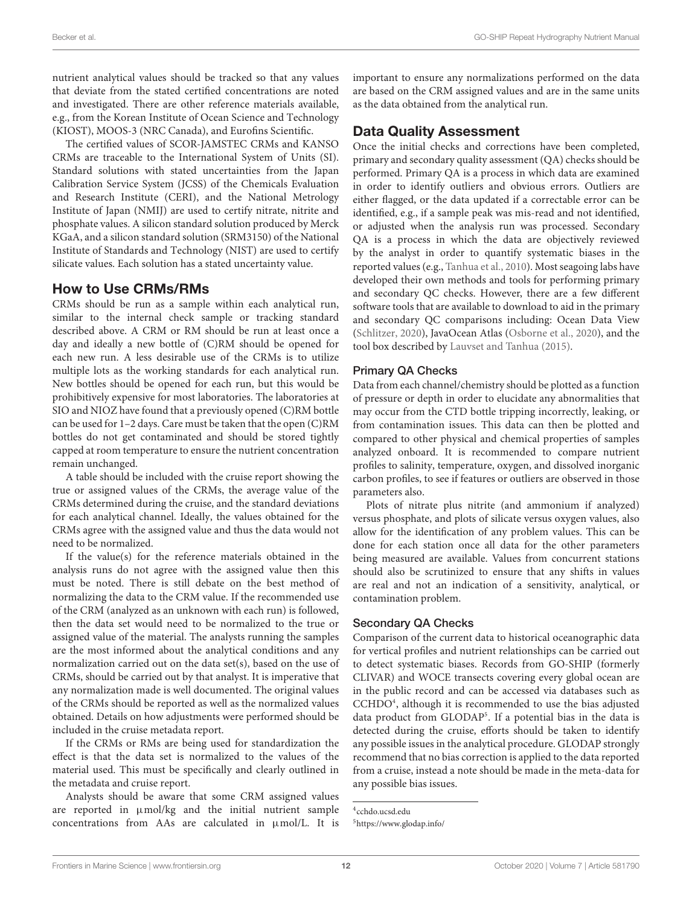nutrient analytical values should be tracked so that any values that deviate from the stated certified concentrations are noted and investigated. There are other reference materials available, e.g., from the Korean Institute of Ocean Science and Technology (KIOST), MOOS-3 (NRC Canada), and Eurofins Scientific.

The certified values of SCOR-JAMSTEC CRMs and KANSO CRMs are traceable to the International System of Units (SI). Standard solutions with stated uncertainties from the Japan Calibration Service System (JCSS) of the Chemicals Evaluation and Research Institute (CERI), and the National Metrology Institute of Japan (NMIJ) are used to certify nitrate, nitrite and phosphate values. A silicon standard solution produced by Merck KGaA, and a silicon standard solution (SRM3150) of the National Institute of Standards and Technology (NIST) are used to certify silicate values. Each solution has a stated uncertainty value.

### How to Use CRMs/RMs

CRMs should be run as a sample within each analytical run, similar to the internal check sample or tracking standard described above. A CRM or RM should be run at least once a day and ideally a new bottle of (C)RM should be opened for each new run. A less desirable use of the CRMs is to utilize multiple lots as the working standards for each analytical run. New bottles should be opened for each run, but this would be prohibitively expensive for most laboratories. The laboratories at SIO and NIOZ have found that a previously opened (C)RM bottle can be used for 1–2 days. Care must be taken that the open (C)RM bottles do not get contaminated and should be stored tightly capped at room temperature to ensure the nutrient concentration remain unchanged.

A table should be included with the cruise report showing the true or assigned values of the CRMs, the average value of the CRMs determined during the cruise, and the standard deviations for each analytical channel. Ideally, the values obtained for the CRMs agree with the assigned value and thus the data would not need to be normalized.

If the value(s) for the reference materials obtained in the analysis runs do not agree with the assigned value then this must be noted. There is still debate on the best method of normalizing the data to the CRM value. If the recommended use of the CRM (analyzed as an unknown with each run) is followed, then the data set would need to be normalized to the true or assigned value of the material. The analysts running the samples are the most informed about the analytical conditions and any normalization carried out on the data set(s), based on the use of CRMs, should be carried out by that analyst. It is imperative that any normalization made is well documented. The original values of the CRMs should be reported as well as the normalized values obtained. Details on how adjustments were performed should be included in the cruise metadata report.

If the CRMs or RMs are being used for standardization the effect is that the data set is normalized to the values of the material used. This must be specifically and clearly outlined in the metadata and cruise report.

Analysts should be aware that some CRM assigned values are reported in µmol/kg and the initial nutrient sample concentrations from AAs are calculated in µmol/L. It is

important to ensure any normalizations performed on the data are based on the CRM assigned values and are in the same units as the data obtained from the analytical run.

# Data Quality Assessment

Once the initial checks and corrections have been completed, primary and secondary quality assessment (QA) checks should be performed. Primary QA is a process in which data are examined in order to identify outliers and obvious errors. Outliers are either flagged, or the data updated if a correctable error can be identified, e.g., if a sample peak was mis-read and not identified, or adjusted when the analysis run was processed. Secondary QA is a process in which the data are objectively reviewed by the analyst in order to quantify systematic biases in the reported values (e.g., [Tanhua et al.,](#page-14-1) [2010\)](#page-14-1). Most seagoing labs have developed their own methods and tools for performing primary and secondary QC checks. However, there are a few different software tools that are available to download to aid in the primary and secondary QC comparisons including: Ocean Data View [\(Schlitzer,](#page-13-37) [2020\)](#page-13-37), JavaOcean Atlas [\(Osborne et al.,](#page-13-38) [2020\)](#page-13-38), and the tool box described by [Lauvset and Tanhua](#page-13-39) [\(2015\)](#page-13-39).

### Primary QA Checks

Data from each channel/chemistry should be plotted as a function of pressure or depth in order to elucidate any abnormalities that may occur from the CTD bottle tripping incorrectly, leaking, or from contamination issues. This data can then be plotted and compared to other physical and chemical properties of samples analyzed onboard. It is recommended to compare nutrient profiles to salinity, temperature, oxygen, and dissolved inorganic carbon profiles, to see if features or outliers are observed in those parameters also.

Plots of nitrate plus nitrite (and ammonium if analyzed) versus phosphate, and plots of silicate versus oxygen values, also allow for the identification of any problem values. This can be done for each station once all data for the other parameters being measured are available. Values from concurrent stations should also be scrutinized to ensure that any shifts in values are real and not an indication of a sensitivity, analytical, or contamination problem.

### Secondary QA Checks

Comparison of the current data to historical oceanographic data for vertical profiles and nutrient relationships can be carried out to detect systematic biases. Records from GO-SHIP (formerly CLIVAR) and WOCE transects covering every global ocean are in the public record and can be accessed via databases such as CCHDO<sup>[4](#page-11-0)</sup>, although it is recommended to use the bias adjusted data product from GLODAP<sup>[5](#page-11-1)</sup>. If a potential bias in the data is detected during the cruise, efforts should be taken to identify any possible issues in the analytical procedure. GLODAP strongly recommend that no bias correction is applied to the data reported from a cruise, instead a note should be made in the meta-data for any possible bias issues.

<span id="page-11-0"></span>4 [cchdo.ucsd.edu](https://cchdo.ucsd.edu/)

<span id="page-11-1"></span><sup>5</sup><https://www.glodap.info/>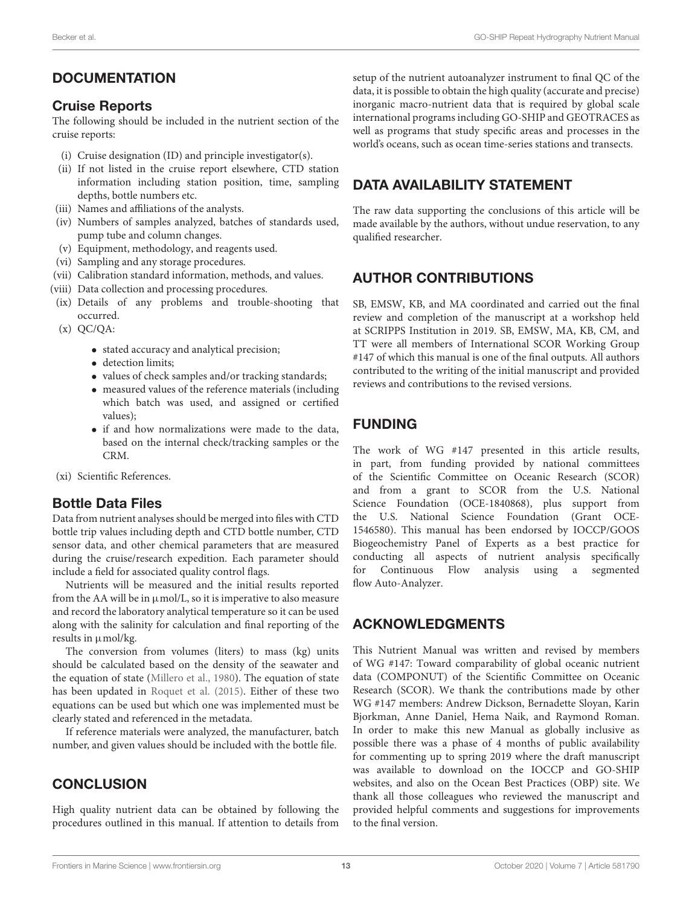# **DOCUMENTATION**

### Cruise Reports

The following should be included in the nutrient section of the cruise reports:

- (i) Cruise designation (ID) and principle investigator(s).
- (ii) If not listed in the cruise report elsewhere, CTD station information including station position, time, sampling depths, bottle numbers etc.
- (iii) Names and affiliations of the analysts.
- (iv) Numbers of samples analyzed, batches of standards used, pump tube and column changes.
- (v) Equipment, methodology, and reagents used.
- (vi) Sampling and any storage procedures.
- (vii) Calibration standard information, methods, and values.
- (viii) Data collection and processing procedures.
- (ix) Details of any problems and trouble-shooting that occurred.
- $(x)$  QC/QA:
	- stated accuracy and analytical precision;
	- detection limits;
	- values of check samples and/or tracking standards;
	- measured values of the reference materials (including which batch was used, and assigned or certified values);
	- if and how normalizations were made to the data, based on the internal check/tracking samples or the CRM.
- (xi) Scientific References.

# Bottle Data Files

Data from nutrient analyses should be merged into files with CTD bottle trip values including depth and CTD bottle number, CTD sensor data, and other chemical parameters that are measured during the cruise/research expedition. Each parameter should include a field for associated quality control flags.

Nutrients will be measured and the initial results reported from the AA will be in  $\mu$ mol/L, so it is imperative to also measure and record the laboratory analytical temperature so it can be used along with the salinity for calculation and final reporting of the results in µmol/kg.

The conversion from volumes (liters) to mass (kg) units should be calculated based on the density of the seawater and the equation of state [\(Millero et al.,](#page-13-40) [1980\)](#page-13-40). The equation of state has been updated in [Roquet et al.](#page-13-41) [\(2015\)](#page-13-41). Either of these two equations can be used but which one was implemented must be clearly stated and referenced in the metadata.

If reference materials were analyzed, the manufacturer, batch number, and given values should be included with the bottle file.

# **CONCLUSION**

High quality nutrient data can be obtained by following the procedures outlined in this manual. If attention to details from setup of the nutrient autoanalyzer instrument to final QC of the data, it is possible to obtain the high quality (accurate and precise) inorganic macro-nutrient data that is required by global scale international programs including GO-SHIP and GEOTRACES as well as programs that study specific areas and processes in the world's oceans, such as ocean time-series stations and transects.

# DATA AVAILABILITY STATEMENT

The raw data supporting the conclusions of this article will be made available by the authors, without undue reservation, to any qualified researcher.

# AUTHOR CONTRIBUTIONS

SB, EMSW, KB, and MA coordinated and carried out the final review and completion of the manuscript at a workshop held at SCRIPPS Institution in 2019. SB, EMSW, MA, KB, CM, and TT were all members of International SCOR Working Group #147 of which this manual is one of the final outputs. All authors contributed to the writing of the initial manuscript and provided reviews and contributions to the revised versions.

# FUNDING

The work of WG #147 presented in this article results, in part, from funding provided by national committees of the Scientific Committee on Oceanic Research (SCOR) and from a grant to SCOR from the U.S. National Science Foundation (OCE-1840868), plus support from the U.S. National Science Foundation (Grant OCE-1546580). This manual has been endorsed by IOCCP/GOOS Biogeochemistry Panel of Experts as a best practice for conducting all aspects of nutrient analysis specifically for Continuous Flow analysis using a segmented flow Auto-Analyzer.

# ACKNOWLEDGMENTS

This Nutrient Manual was written and revised by members of WG #147: Toward comparability of global oceanic nutrient data (COMPONUT) of the Scientific Committee on Oceanic Research (SCOR). We thank the contributions made by other WG #147 members: Andrew Dickson, Bernadette Sloyan, Karin Bjorkman, Anne Daniel, Hema Naik, and Raymond Roman. In order to make this new Manual as globally inclusive as possible there was a phase of 4 months of public availability for commenting up to spring 2019 where the draft manuscript was available to download on the IOCCP and GO-SHIP websites, and also on the Ocean Best Practices (OBP) site. We thank all those colleagues who reviewed the manuscript and provided helpful comments and suggestions for improvements to the final version.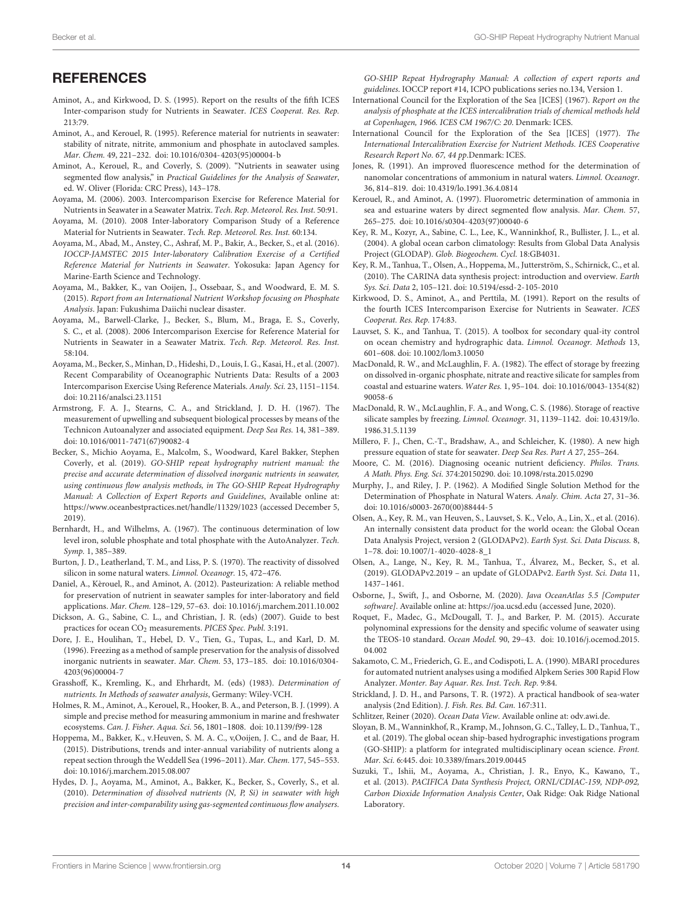### **REFERENCES**

- <span id="page-13-10"></span>Aminot, A., and Kirkwood, D. S. (1995). Report on the results of the fifth ICES Inter-comparison study for Nutrients in Seawater. ICES Cooperat. Res. Rep. 213:79.
- <span id="page-13-27"></span>Aminot, A., and Kerouel, R. (1995). Reference material for nutrients in seawater: stability of nitrate, nitrite, ammonium and phosphate in autoclaved samples. Mar. Chem. 49, 221–232. [doi: 10.1016/0304-4203\(95\)00004-b](https://doi.org/10.1016/0304-4203(95)00004-b)
- <span id="page-13-24"></span>Aminot, A., Kerouel, R., and Coverly, S. (2009). "Nutrients in seawater using segmented flow analysis," in Practical Guidelines for the Analysis of Seawater, ed. W. Oliver (Florida: CRC Press), 143–178.
- <span id="page-13-11"></span>Aoyama, M. (2006). 2003. Intercomparison Exercise for Reference Material for Nutrients in Seawater in a Seawater Matrix. Tech. Rep. Meteorol. Res. Inst. 50:91.
- <span id="page-13-12"></span>Aoyama, M. (2010). 2008 Inter-laboratory Comparison Study of a Reference Material for Nutrients in Seawater. Tech. Rep. Meteorol. Res. Inst. 60:134.
- <span id="page-13-15"></span>Aoyama, M., Abad, M., Anstey, C., Ashraf, M. P., Bakir, A., Becker, S., et al. (2016). IOCCP-JAMSTEC 2015 Inter-laboratory Calibration Exercise of a Certified Reference Material for Nutrients in Seawater. Yokosuka: Japan Agency for Marine-Earth Science and Technology.
- <span id="page-13-34"></span>Aoyama, M., Bakker, K., van Ooijen, J., Ossebaar, S., and Woodward, E. M. S. (2015). Report from an International Nutrient Workshop focusing on Phosphate Analysis. Japan: Fukushima Daiichi nuclear disaster.
- <span id="page-13-14"></span>Aoyama, M., Barwell-Clarke, J., Becker, S., Blum, M., Braga, E. S., Coverly, S. C., et al. (2008). 2006 Intercomparison Exercise for Reference Material for Nutrients in Seawater in a Seawater Matrix. Tech. Rep. Meteorol. Res. Inst. 58:104.
- <span id="page-13-13"></span>Aoyama, M., Becker, S., Minhan, D., Hideshi, D., Louis, I. G., Kasai, H., et al. (2007). Recent Comparability of Oceanographic Nutrients Data: Results of a 2003 Intercomparison Exercise Using Reference Materials. Analy. Sci. 23, 1151–1154. [doi: 10.2116/analsci.23.1151](https://doi.org/10.2116/analsci.23.1151)
- <span id="page-13-17"></span>Armstrong, F. A. J., Stearns, C. A., and Strickland, J. D. H. (1967). The measurement of upwelling and subsequent biological processes by means of the Technicon Autoanalyzer and associated equipment. Deep Sea Res. 14, 381–389. [doi: 10.1016/0011-7471\(67\)90082-4](https://doi.org/10.1016/0011-7471(67)90082-4)
- <span id="page-13-33"></span>Becker, S., Michio Aoyama, E., Malcolm, S., Woodward, Karel Bakker, Stephen Coverly, et al. (2019). GO-SHIP repeat hydrography nutrient manual: the precise and accurate determination of dissolved inorganic nutrients in seawater, using continuous flow analysis methods, in The GO-SHIP Repeat Hydrography Manual: A Collection of Expert Reports and Guidelines, Available online at: <https://www.oceanbestpractices.net/handle/11329/1023> (accessed December 5, 2019).
- <span id="page-13-18"></span>Bernhardt, H., and Wilhelms, A. (1967). The continuous determination of low level iron, soluble phosphate and total phosphate with the AutoAnalyzer. Tech. Symp. 1, 385–389.
- <span id="page-13-29"></span>Burton, J. D., Leatherland, T. M., and Liss, P. S. (1970). The reactivity of dissolved silicon in some natural waters. Limnol. Oceanogr. 15, 472–476.
- <span id="page-13-26"></span>Daniel, A., Kèrouel, R., and Aminot, A. (2012). Pasteurization: A reliable method for preservation of nutrient in seawater samples for inter-laboratory and field applications. Mar. Chem. 128–129, 57–63. [doi: 10.1016/j.marchem.2011.10.002](https://doi.org/10.1016/j.marchem.2011.10.002)
- <span id="page-13-35"></span>Dickson, A. G., Sabine, C. L., and Christian, J. R. (eds) (2007). Guide to best practices for ocean CO<sub>2</sub> measurements. PICES Spec. Publ. 3:191.
- <span id="page-13-28"></span>Dore, J. E., Houlihan, T., Hebel, D. V., Tien, G., Tupas, L., and Karl, D. M. (1996). Freezing as a method of sample preservation for the analysis of dissolved inorganic nutrients in seawater. Mar. Chem. 53, 173–185. [doi: 10.1016/0304-](https://doi.org/10.1016/0304-4203(96)00004-7) [4203\(96\)00004-7](https://doi.org/10.1016/0304-4203(96)00004-7)
- <span id="page-13-20"></span>Grasshoff, K., Kremling, K., and Ehrhardt, M. (eds) (1983). Determination of nutrients. In Methods of seawater analysis, Germany: Wiley-VCH.
- <span id="page-13-22"></span>Holmes, R. M., Aminot, A., Kerouel, R., Hooker, B. A., and Peterson, B. J. (1999). A simple and precise method for measuring ammonium in marine and freshwater ecosystems. Can. J. Fisher. Aqua. Sci. 56, 1801–1808. [doi: 10.1139/f99-128](https://doi.org/10.1139/f99-128)
- <span id="page-13-36"></span>Hoppema, M., Bakker, K., v.Heuven, S. M. A. C., v,Ooijen, J. C., and de Baar, H. (2015). Distributions, trends and inter-annual variability of nutrients along a repeat section through the Weddell Sea (1996–2011). Mar. Chem. 177, 545–553. [doi: 10.1016/j.marchem.2015.08.007](https://doi.org/10.1016/j.marchem.2015.08.007)
- <span id="page-13-25"></span>Hydes, D. J., Aoyama, M., Aminot, A., Bakker, K., Becker, S., Coverly, S., et al. (2010). Determination of dissolved nutrients (N, P, Si) in seawater with high precision and inter-comparability using gas-segmented continuous flow analysers.

GO-SHIP Repeat Hydrography Manual: A collection of expert reports and guidelines. IOCCP report #14, ICPO publications series no.134, Version 1.

- <span id="page-13-7"></span>International Council for the Exploration of the Sea [ICES] (1967). Report on the analysis of phosphate at the ICES intercalibration trials of chemical methods held at Copenhagen, 1966. ICES CM 1967/C: 20. Denmark: ICES.
- <span id="page-13-8"></span>International Council for the Exploration of the Sea [ICES] (1977). The International Intercalibration Exercise for Nutrient Methods. ICES Cooperative Research Report No. 67, 44 pp.Denmark: ICES.
- <span id="page-13-21"></span>Jones, R. (1991). An improved fluorescence method for the determination of nanomolar concentrations of ammonium in natural waters. Limnol. Oceanogr. 36, 814–819. [doi: 10.4319/lo.1991.36.4.0814](https://doi.org/10.4319/lo.1991.36.4.0814)
- <span id="page-13-23"></span>Kerouel, R., and Aminot, A. (1997). Fluorometric determination of ammonia in sea and estuarine waters by direct segmented flow analysis. Mar. Chem. 57, 265–275. [doi: 10.1016/s0304-4203\(97\)00040-6](https://doi.org/10.1016/s0304-4203(97)00040-6)
- <span id="page-13-4"></span>Key, R. M., Kozyr, A., Sabine, C. L., Lee, K., Wanninkhof, R., Bullister, J. L., et al. (2004). A global ocean carbon climatology: Results from Global Data Analysis Project (GLODAP). Glob. Biogeochem. Cycl. 18:GB4031.
- <span id="page-13-2"></span>Key, R. M., Tanhua, T., Olsen, A., Hoppema, M., Jutterström, S., Schirnick, C., et al. (2010). The CARINA data synthesis project: introduction and overview. Earth Sys. Sci. Data 2, 105–121. [doi: 10.5194/essd-2-105-2010](https://doi.org/10.5194/essd-2-105-2010)
- <span id="page-13-9"></span>Kirkwood, D. S., Aminot, A., and Perttila, M. (1991). Report on the results of the fourth ICES Intercomparison Exercise for Nutrients in Seawater. ICES Cooperat. Res. Rep. 174:83.
- <span id="page-13-39"></span>Lauvset, S. K., and Tanhua, T. (2015). A toolbox for secondary qual-ity control on ocean chemistry and hydrographic data. Limnol. Oceanogr. Methods 13, 601–608. [doi: 10.1002/lom3.10050](https://doi.org/10.1002/lom3.10050)
- <span id="page-13-30"></span>MacDonald, R. W., and McLaughlin, F. A. (1982). The effect of storage by freezing on dissolved in-organic phosphate, nitrate and reactive silicate for samples from coastal and estuarine waters. Water Res. 1, 95–104. [doi: 10.1016/0043-1354\(82\)](https://doi.org/10.1016/0043-1354(82)90058-6) [90058-6](https://doi.org/10.1016/0043-1354(82)90058-6)
- <span id="page-13-31"></span>MacDonald, R. W., McLaughlin, F. A., and Wong, C. S. (1986). Storage of reactive silicate samples by freezing. Limnol. Oceanogr. 31, 1139–1142. [doi: 10.4319/lo.](https://doi.org/10.4319/lo.1986.31.5.1139) [1986.31.5.1139](https://doi.org/10.4319/lo.1986.31.5.1139)
- <span id="page-13-40"></span>Millero, F. J., Chen, C.-T., Bradshaw, A., and Schleicher, K. (1980). A new high pressure equation of state for seawater. Deep Sea Res. Part A 27, 255–264.
- <span id="page-13-0"></span>Moore, C. M. (2016). Diagnosing oceanic nutrient deficiency. Philos. Trans. A Math. Phys. Eng. Sci. 374:20150290. [doi: 10.1098/rsta.2015.0290](https://doi.org/10.1098/rsta.2015.0290)
- <span id="page-13-19"></span>Murphy, J., and Riley, J. P. (1962). A Modified Single Solution Method for the Determination of Phosphate in Natural Waters. Analy. Chim. Acta 27, 31–36. [doi: 10.1016/s0003-2670\(00\)88444-5](https://doi.org/10.1016/s0003-2670(00)88444-5)
- <span id="page-13-5"></span>Olsen, A., Key, R. M., van Heuven, S., Lauvset, S. K., Velo, A., Lin, X., et al. (2016). An internally consistent data product for the world ocean: the Global Ocean Data Analysis Project, version 2 (GLODAPv2). Earth Syst. Sci. Data Discuss. 8, 1–78. [doi: 10.1007/1-4020-4028-8\\_1](https://doi.org/10.1007/1-4020-4028-8_1)
- <span id="page-13-6"></span>Olsen, A., Lange, N., Key, R. M., Tanhua, T., Álvarez, M., Becker, S., et al. (2019). GLODAPv2.2019 – an update of GLODAPv2. Earth Syst. Sci. Data 11, 1437–1461.
- <span id="page-13-38"></span>Osborne, J., Swift, J., and Osborne, M. (2020). Java OceanAtlas 5.5 [Computer software]. Available online at: <https://joa.ucsd.edu> (accessed June, 2020).
- <span id="page-13-41"></span>Roquet, F., Madec, G., McDougall, T. J., and Barker, P. M. (2015). Accurate polynominal expressions for the density and specific volume of seawater using the TEOS-10 standard. Ocean Model. 90, 29–43. [doi: 10.1016/j.ocemod.2015.](https://doi.org/10.1016/j.ocemod.2015.04.002) [04.002](https://doi.org/10.1016/j.ocemod.2015.04.002)
- <span id="page-13-32"></span>Sakamoto, C. M., Friederich, G. E., and Codispoti, L. A. (1990). MBARI procedures for automated nutrient analyses using a modified Alpkem Series 300 Rapid Flow Analyzer. Monter. Bay Aquar. Res. Inst. Tech. Rep. 9:84.
- <span id="page-13-16"></span>Strickland, J. D. H., and Parsons, T. R. (1972). A practical handbook of sea-water analysis (2nd Edition). J. Fish. Res. Bd. Can. 167:311.
- <span id="page-13-37"></span>Schlitzer, Reiner (2020). Ocean Data View. Available online at: odv.awi.de.
- <span id="page-13-1"></span>Sloyan, B. M., Wanninkhof, R., Kramp, M., Johnson, G. C., Talley, L. D., Tanhua, T., et al. (2019). The global ocean ship-based hydrographic investigations program (GO-SHIP): a platform for integrated multidisciplinary ocean science. Front. Mar. Sci. 6:445. [doi: 10.3389/fmars.2019.00445](https://doi.org/10.3389/fmars.2019.00445)
- <span id="page-13-3"></span>Suzuki, T., Ishii, M., Aoyama, A., Christian, J. R., Enyo, K., Kawano, T., et al. (2013). PACIFICA Data Synthesis Project, ORNL/CDIAC-159, NDP-092, Carbon Dioxide Information Analysis Center, Oak Ridge: Oak Ridge National Laboratory.